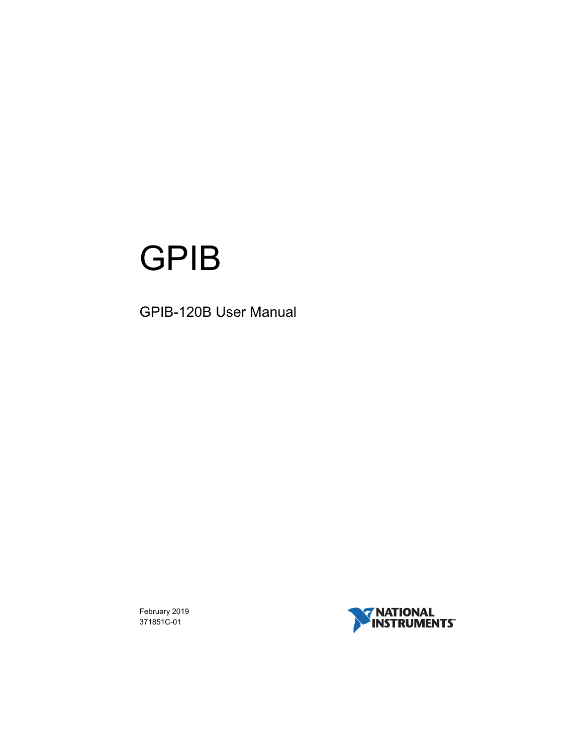# GPIB

# <span id="page-0-0"></span>GPIB-120B User Manual

February 2019 371851C-01

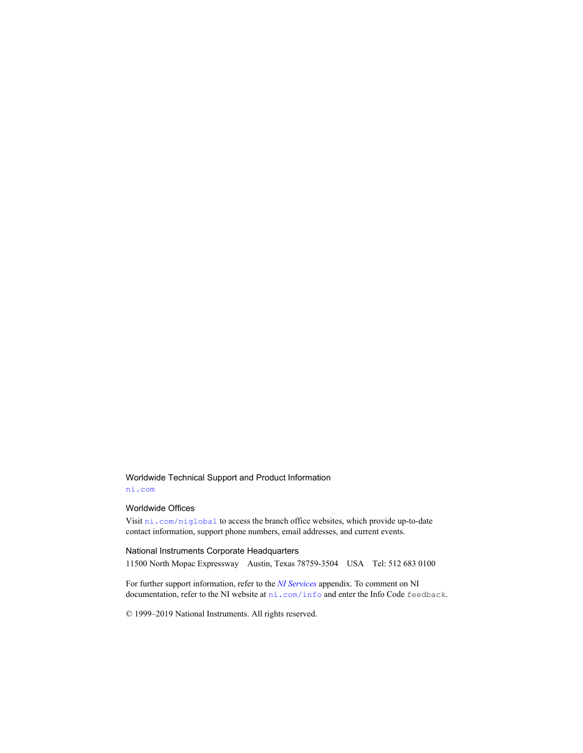#### Worldwide Technical Support and Product Information [ni.com](http://ni.com)

#### Worldwide Offices

Visit [ni.com/niglobal](http://ni.com/niglobal) to access the branch office websites, which provide up-to-date contact information, support phone numbers, email addresses, and current events.

#### National Instruments Corporate Headquarters

11500 North Mopac Expressway Austin, Texas 78759-3504 USA Tel: 512 683 0100

For further support information, refer to the *[NI Services](#page-31-0)* appendix. To comment on NI documentation, refer to the NI website at  $n$ i.com/info and enter the Info Code feedback.

© 1999–2019 National Instruments. All rights reserved.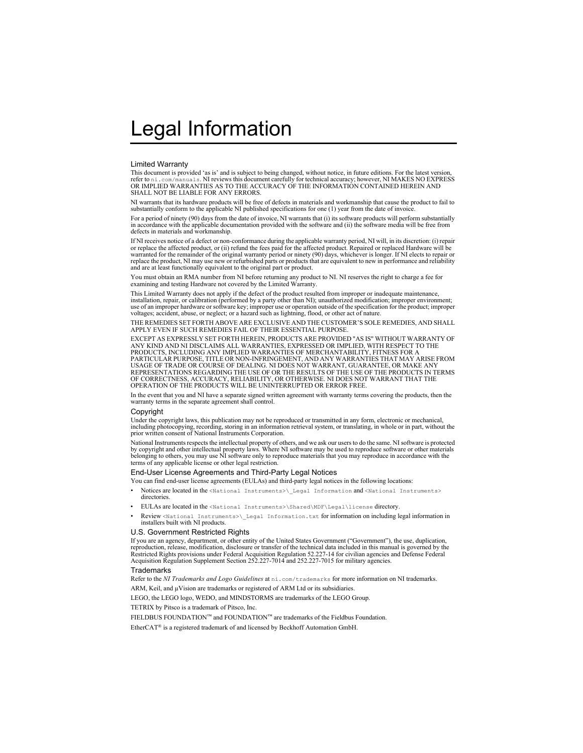#### Limited Warranty

This document is provided 'as is' and is subject to being changed, without notice, in future editions. For the latest version,<br>refer to ni. .com/manua1s. NI reviews this document carefully for technical accuracy; however, SHALL NOT BE LIABLE FOR ANY ERRORS.

NI warrants that its hardware products will be free of defects in materials and workmanship that cause the product to fail to substantially conform to the applicable NI published specifications for one (1) year from the date of invoice.

For a period of ninety (90) days from the date of invoice, NI warrants that (i) its software products will perform substantially in accordance with the applicable documentation provided with the software and (ii) the software media will be free from defects in materials and workmanship.

If NI receives notice of a defect or non-conformance during the applicable warranty period, NI will, in its discretion: (i) repair or replace the affected product, or (ii) refund the fees paid for the affected product. Repaired or replaced Hardware will be warranted for the remainder of the original warranty period or ninety (90) days, whichever is longer. If NI elects to repair or replace the product, NI may use new or refurbished parts or products that are equivalent to new in performance and reliability and are at least functionally equivalent to the original part or product.

You must obtain an RMA number from NI before returning any product to NI. NI reserves the right to charge a fee for examining and testing Hardware not covered by the Limited Warranty.

This Limited Warranty does not apply if the defect of the product resulted from improper or inadequate maintenance,<br>installation, repair, or calibration (performed by a party other than NI); unauthorized modification; impr use of an improper hardware or software key; improper use or operation outside of the specification for the product; improper voltages; accident, abuse, or neglect; or a hazard such as lightning, flood, or other act of nature.

THE REMEDIES SET FORTH ABOVE ARE EXCLUSIVE AND THE CUSTOMER'S SOLE REMEDIES, AND SHALL APPLY EVEN IF SUCH REMEDIES FAIL OF THEIR ESSENTIAL PURPOSE.

EXCEPT AS EXPRESSLY SET FORTH HEREIN, PRODUCTS ARE PROVIDED "AS IS" WITHOUT WARRANTY OF ANY KIND AND NI DISCLAIMS ALL WARRANTIES, EXPRESSED OR IMPLIED, WITH RESPECT TO THE PRODUCTS, INCLUDING ANY IMPLIED WARRANTIES OF MERCHANTABILITY, FITNESS FOR A PARTICULAR PURPOSE, TITLE OR NON-INFRINGEMENT, AND ANY WARRANTIES THAT MAY ARISE FROM USAGE OF TRADE OR COURSE OF DEALING. NI DOES NOT WARRANT, GUARANTEE, OR MAKE ANY REPRESENTATIONS REGARDING THE USE OF OR THE RESULTS OF THE USE OF THE PRODUCTS IN TERMS OF CORRECTNESS, ACCURACY, RELIABILITY, OR OTHERWISE. NI DOES NOT WARRANT THAT THE OPERATION OF THE PRODUCTS WILL BE UNINTERRUPTED OR ERROR FREE.

In the event that you and NI have a separate signed written agreement with warranty terms covering the products, then the warranty terms in the separate agreement shall control.

#### **Copyright**

Under the copyright laws, this publication may not be reproduced or transmitted in any form, electronic or mechanical, including photocopying, recording, storing in an information retrieval system, or translating, in whole or in part, without the prior written consent of National Instruments Corporation.

National Instruments respects the intellectual property of others, and we ask our users to do the same. NI software is protected by copyright and other intellectual property laws. Where NI software may be used to reproduce software or other materials belonging to others, you may use NI software only to reproduce materials that you may reproduce in accordance with the terms of any applicable license or other legal restriction.

#### End-User License Agreements and Third-Party Legal Notices

You can find end-user license agreements (EULAs) and third-party legal notices in the following locations:

- Notices are located in the <National Instruments>\ Legal Information and <National Instruments> **directories**
- EULAs are located in the <National Instruments>\Shared\MDF\Legal\license directory.
- Review <National Instruments>\\_Legal Information.txt for information on including legal information in installers built with NI products.

#### U.S. Government Restricted Rights

If you are an agency, department, or other entity of the United States Government ("Government"), the use, duplication, reproduction, release, modification, disclosure or transfer of the technical data included in this manual is governed by the Restricted Rights provisions under Federal Acquisition Regulation 52.227-14 for civilian agencies and Defense Federal Acquisition Regulation Supplement Section 252.227-7014 and 252.227-7015 for military agencies.

#### **Trademarks**

Refer to the *NI Trademarks and Logo Guidelines* at ni.com/trademarks for more information on NI trademarks.

ARM, Keil, and µVision are trademarks or registered of ARM Ltd or its subsidiaries.

LEGO, the LEGO logo, WEDO, and MINDSTORMS are trademarks of the LEGO Group.

TETRIX by Pitsco is a trademark of Pitsco, Inc.

FIELDBUS FOUNDATION™ and FOUNDATION™ are trademarks of the Fieldbus Foundation.

EtherCAT® is a registered trademark of and licensed by Beckhoff Automation GmbH.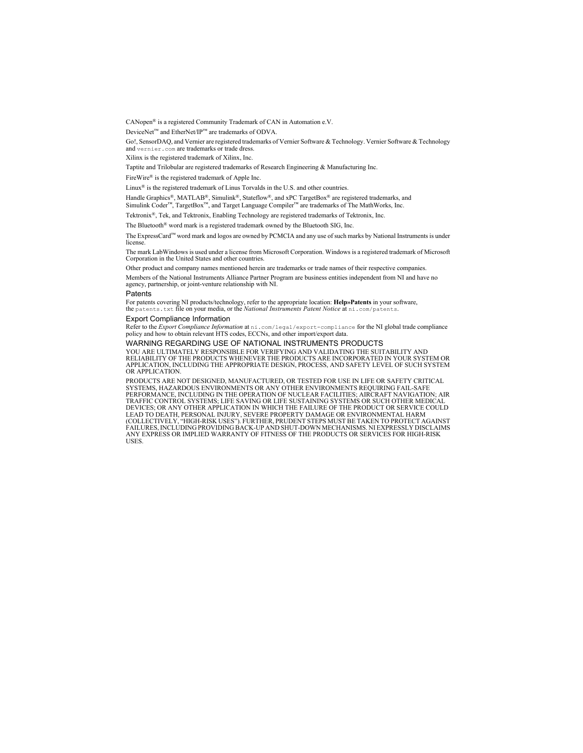CANopen® is a registered Community Trademark of CAN in Automation e.V.

DeviceNet™ and EtherNet/IP™ are trademarks of ODVA.

Go!, SensorDAO, and Vernier are registered trademarks of Vernier Software & Technology. Vernier Software & Technology and vernier.com are trademarks or trade dress.

Xilinx is the registered trademark of Xilinx, Inc.

Taptite and Trilobular are registered trademarks of Research Engineering & Manufacturing Inc.

FireWire® is the registered trademark of Apple Inc.

Linux<sup>®</sup> is the registered trademark of Linus Torvalds in the U.S. and other countries.

Handle Graphics®, MATLAB®, Simulink®, Stateflow®, and xPC TargetBox® are registered trademarks, and Simulink Coder™, TargetBox™, and Target Language Compiler™ are trademarks of The MathWorks, Inc.

Tektronix®, Tek, and Tektronix, Enabling Technology are registered trademarks of Tektronix, Inc.

The Bluetooth® word mark is a registered trademark owned by the Bluetooth SIG, Inc.

The ExpressCard™ word mark and logos are owned by PCMCIA and any use of such marks by National Instruments is under license.

The mark LabWindows is used under a license from Microsoft Corporation. Windows is a registered trademark of Microsoft Corporation in the United States and other countries.

Other product and company names mentioned herein are trademarks or trade names of their respective companies.

Members of the National Instruments Alliance Partner Program are business entities independent from NI and have no agency, partnership, or joint-venture relationship with NI.

#### **Patents**

For patents covering NI products/technology, refer to the appropriate location: **Help»Patents** in your software, the patents.txt file on your media, or the *National Instruments Patent Notice* at ni.com/patents.

#### Export Compliance Information

Refer to the *Export Compliance Information* at ni.com/legal/export-compliance for the NI global trade compliance policy and how to obtain relevant HTS codes, ECCNs, and other import/export data.

#### WARNING REGARDING USE OF NATIONAL INSTRUMENTS PRODUCTS

YOU ARE ULTIMATELY RESPONSIBLE FOR VERIFYING AND VALIDATING THE SUITABILITY AND RELIABILITY OF THE PRODUCTS WHENEVER THE PRODUCTS ARE INCORPORATED IN YOUR SYSTEM OR APPLICATION, INCLUDING THE APPROPRIATE DESIGN, PROCESS, AND SAFETY LEVEL OF SUCH SYSTEM OR APPLICATION.

PRODUCTS ARE NOT DESIGNED, MANUFACTURED, OR TESTED FOR USE IN LIFE OR SAFETY CRITICAL SYSTEMS, HAZARDOUS ENVIRONMENTS OR ANY OTHER ENVIRONMENTS REQUIRING FAIL-SAFE PERFORMANCE, INCLUDING IN THE OPERATION OF NUCLEAR FACILITIES; AIRCRAFT NAVIGATION; AIR TRAFFIC CONTROL SYSTEMS; LIFE SAVING OR LIFE SUSTAINING SYSTEMS OR SUCH OTHER MEDICAL DEVICES; OR ANY OTHER APPLICATION IN WHICH THE FAILURE OF THE PRODUCT OR SERVICE COULD LEAD TO DEATH, PERSONAL INJURY, SEVERE PROPERTY DAMAGE OR ENVIRONMENTAL HARM<br>(COLLECTIVELY, "HIGH-RISK USES"). FURTHER, PRUDENT STEPS MUST BE TAKEN TO PROTECT AGAINST FAILURES, INCLUDING PROVIDING BACK-UP AND SHUT-DOWN MECHANISMS. NI EXPRESSLY DISCLAIMS ANY EXPRESS OR IMPLIED WARRANTY OF FITNESS OF THE PRODUCTS OR SERVICES FOR HIGH-RISK **USES**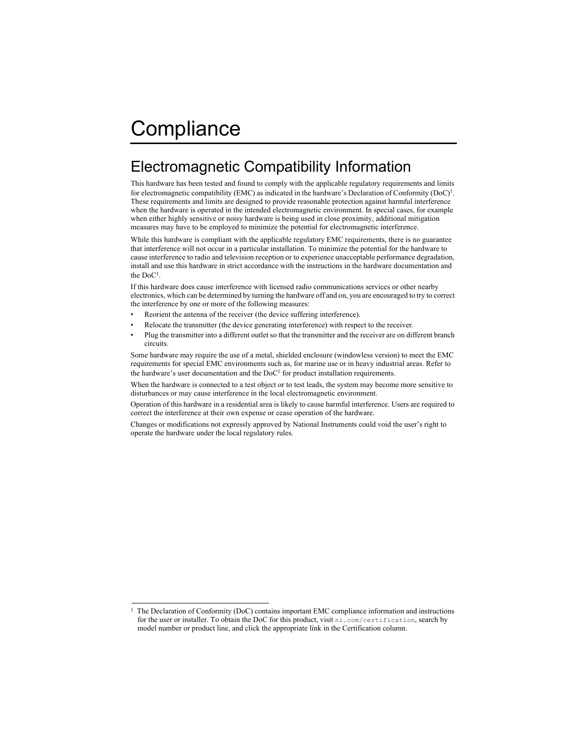# Compliance

# Electromagnetic Compatibility Information

This hardware has been tested and found to comply with the applicable regulatory requirements and limits for electromagnetic compatibility (EMC) as indicated in the hardware's Declaration of Conformity (DoC)<sup>1</sup>. These requirements and limits are designed to provide reasonable protection against harmful interference when the hardware is operated in the intended electromagnetic environment. In special cases, for example when either highly sensitive or noisy hardware is being used in close proximity, additional mitigation measures may have to be employed to minimize the potential for electromagnetic interference.

While this hardware is compliant with the applicable regulatory EMC requirements, there is no guarantee that interference will not occur in a particular installation. To minimize the potential for the hardware to cause interference to radio and television reception or to experience unacceptable performance degradation, install and use this hardware in strict accordance with the instructions in the hardware documentation and the DoC1.

If this hardware does cause interference with licensed radio communications services or other nearby electronics, which can be determined by turning the hardware off and on, you are encouraged to try to correct the interference by one or more of the following measures:

- Reorient the antenna of the receiver (the device suffering interference).
- Relocate the transmitter (the device generating interference) with respect to the receiver.
- Plug the transmitter into a different outlet so that the transmitter and the receiver are on different branch circuits.

Some hardware may require the use of a metal, shielded enclosure (windowless version) to meet the EMC requirements for special EMC environments such as, for marine use or in heavy industrial areas. Refer to the hardware's user documentation and the  $DoC<sup>1</sup>$  for product installation requirements.

When the hardware is connected to a test object or to test leads, the system may become more sensitive to disturbances or may cause interference in the local electromagnetic environment.

Operation of this hardware in a residential area is likely to cause harmful interference. Users are required to correct the interference at their own expense or cease operation of the hardware.

Changes or modifications not expressly approved by National Instruments could void the user's right to operate the hardware under the local regulatory rules.

<sup>1</sup> The Declaration of Conformity (DoC) contains important EMC compliance information and instructions for the user or installer. To obtain the DoC for this product, visit ni.com/certification, search by model number or product line, and click the appropriate link in the Certification column.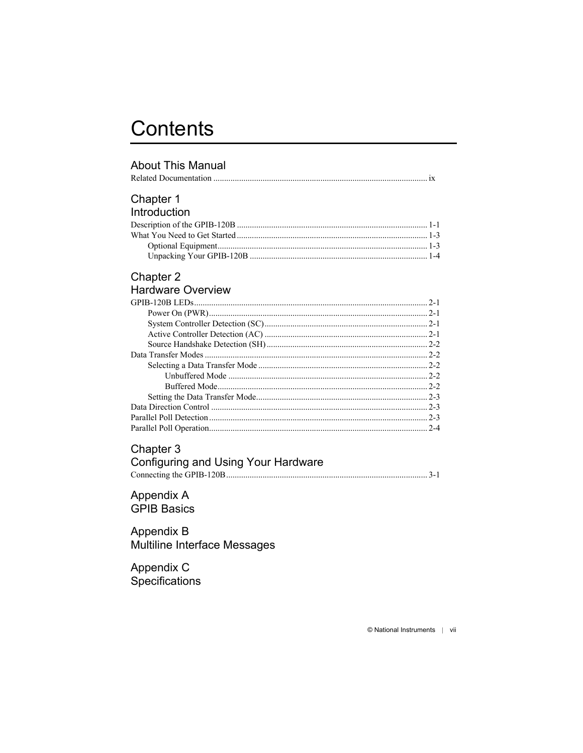# **Contents**

#### **About This Manual**

#### Chapter 1 Introduction

| . |  |
|---|--|
|   |  |
|   |  |
|   |  |
|   |  |

#### Chapter 2 Hardware Overview

| $2 - 1$ |
|---------|
|         |
|         |
|         |
|         |
| $2 - 2$ |
|         |
| $2 - 2$ |
|         |
|         |
| $2 - 3$ |
|         |
| $2 - 4$ |
|         |

#### Chapter 3

| Configuring and Using Your Hardware |  |
|-------------------------------------|--|
|                                     |  |

#### Appendix A **GPIB Basics**

#### Appendix B Multiline Interface Messages

Appendix C Specifications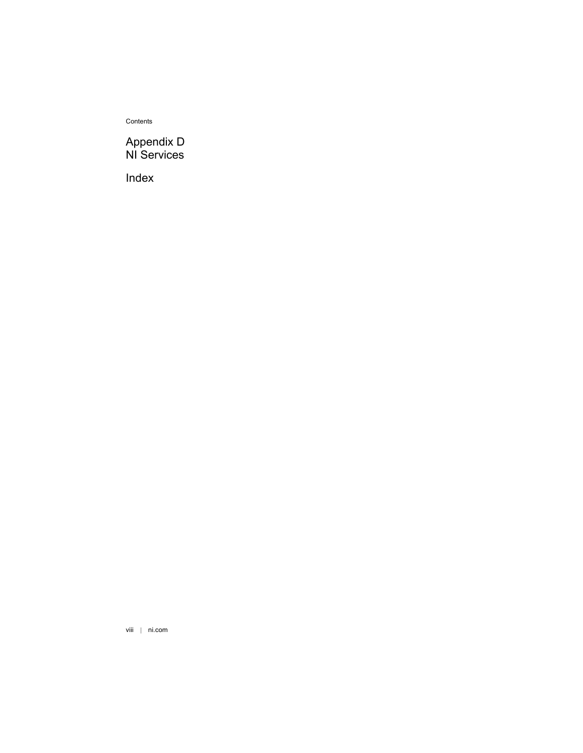Contents

#### [Appendix D](#page-31-1) [NI Services](#page-31-2)

[Index](#page-33-0)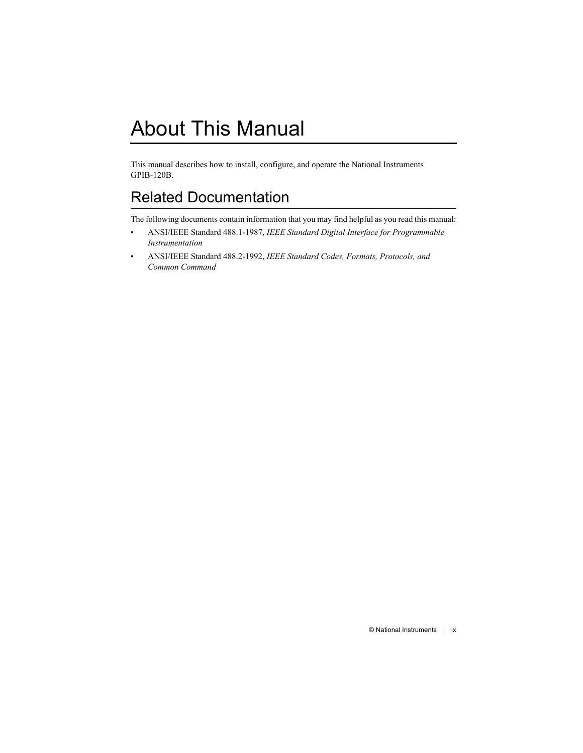<span id="page-7-0"></span>This manual describes how to install, configure, and operate the National Instruments GPIB-120B.

# <span id="page-7-2"></span><span id="page-7-1"></span>Related Documentation

The following documents contain information that you may find helpful as you read this manual:

- ANSI/IEEE Standard 488.1-1987, *IEEE Standard Digital Interface for Programmable Instrumentation*
- ANSI/IEEE Standard 488.2-1992, *IEEE Standard Codes, Formats, Protocols, and Common Command*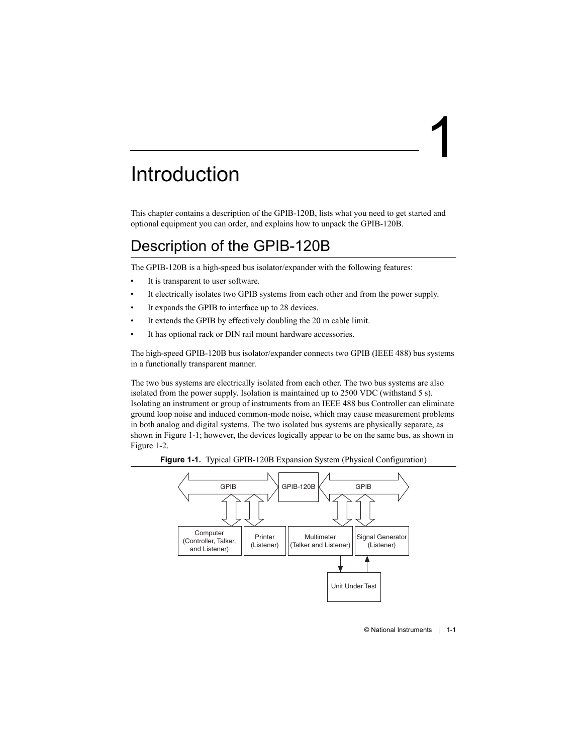# <span id="page-8-1"></span>Introduction

This chapter contains a description of the GPIB-120B, lists what you need to get started and optional equipment you can order, and explains how to unpack the GPIB-120B.

# <span id="page-8-2"></span>Description of the GPIB-120B

The GPIB-120B is a high-speed bus isolator/expander with the following features:

- It is transparent to user software.
- It electrically isolates two GPIB systems from each other and from the power supply.
- It expands the GPIB to interface up to 28 devices.
- It extends the GPIB by effectively doubling the 20 m cable limit.
- It has optional rack or DIN rail mount hardware accessories.

The high-speed GPIB-120B bus isolator/expander connects two GPIB (IEEE 488) bus systems in a functionally transparent manner.

The two bus systems are electrically isolated from each other. The two bus systems are also isolated from the power supply. Isolation is maintained up to 2500 VDC (withstand 5 s). Isolating an instrument or group of instruments from an IEEE 488 bus Controller can eliminate ground loop noise and induced common-mode noise, which may cause measurement problems in both analog and digital systems. The two isolated bus systems are physically separate, as shown in Figure [1-1;](#page-8-3) however, the devices logically appear to be on the same bus, as shown in Figure [1-2.](#page-9-0)

<span id="page-8-3"></span>

<span id="page-8-5"></span>

<span id="page-8-4"></span><span id="page-8-0"></span>1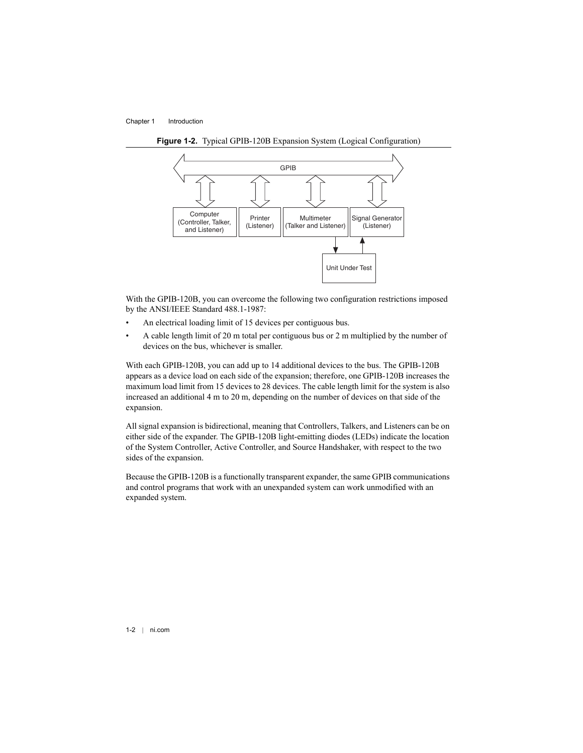<span id="page-9-1"></span>

<span id="page-9-0"></span>**Figure 1-2.** Typical GPIB-120B Expansion System (Logical Configuration)

With the GPIB-120B, you can overcome the following two configuration restrictions imposed by the ANSI/IEEE Standard 488.1-1987:

- An electrical loading limit of 15 devices per contiguous bus.
- A cable length limit of 20 m total per contiguous bus or 2 m multiplied by the number of devices on the bus, whichever is smaller.

With each GPIB-120B, you can add up to 14 additional devices to the bus. The GPIB-120B appears as a device load on each side of the expansion; therefore, one GPIB-120B increases the maximum load limit from 15 devices to 28 devices. The cable length limit for the system is also increased an additional 4 m to 20 m, depending on the number of devices on that side of the expansion.

All signal expansion is bidirectional, meaning that Controllers, Talkers, and Listeners can be on either side of the expander. The GPIB-120B light-emitting diodes (LEDs) indicate the location of the System Controller, Active Controller, and Source Handshaker, with respect to the two sides of the expansion.

Because the GPIB-120B is a functionally transparent expander, the same GPIB communications and control programs that work with an unexpanded system can work unmodified with an expanded system.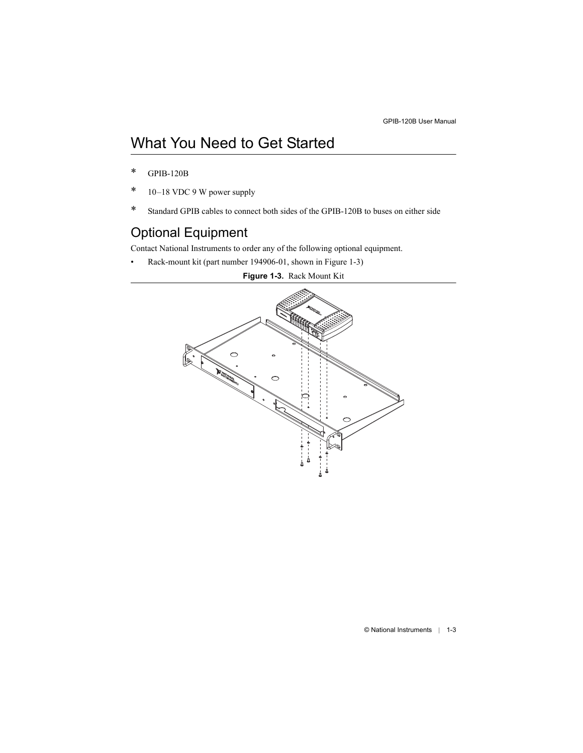# <span id="page-10-0"></span>What You Need to Get Started

- \* GPIB-120B
- \* 10–18 VDC 9 W power supply
- \* Standard GPIB cables to connect both sides of the GPIB-120B to buses on either side

# <span id="page-10-1"></span>Optional Equipment

Contact National Instruments to order any of the following optional equipment.

<span id="page-10-2"></span>• Rack-mount kit (part number 194906-01, shown in Figur[e 1-3\)](#page-10-2)

<span id="page-10-5"></span><span id="page-10-4"></span><span id="page-10-3"></span>

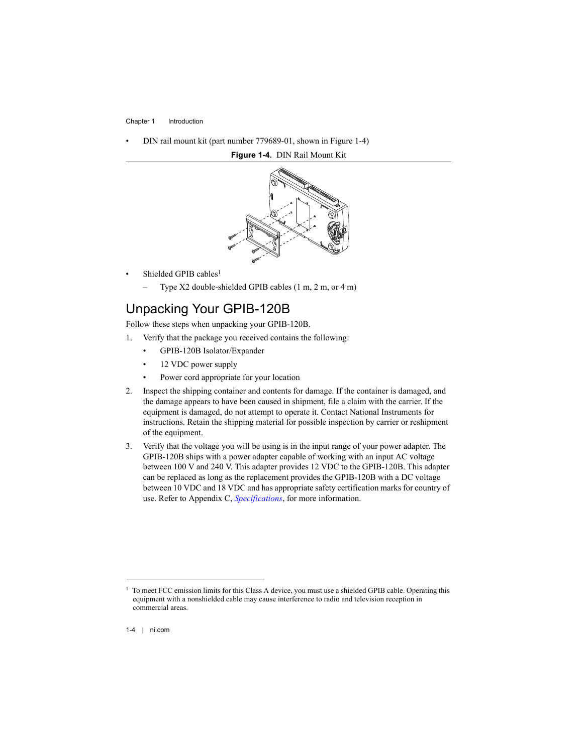<span id="page-11-1"></span>• DIN rail mount kit (part number 779689-01, shown in Figur[e 1-4\)](#page-11-1)

<span id="page-11-3"></span>

<span id="page-11-2"></span>**Figure 1-4.** DIN Rail Mount Kit

- Shielded GPIB cables<sup>1</sup>
	- Type X2 double-shielded GPIB cables (1 m, 2 m, or 4 m)

## <span id="page-11-0"></span>Unpacking Your GPIB-120B

Follow these steps when unpacking your GPIB-120B.

- 1. Verify that the package you received contains the following:
	- GPIB-120B Isolator/Expander
	- 12 VDC power supply
	- Power cord appropriate for your location
- 2. Inspect the shipping container and contents for damage. If the container is damaged, and the damage appears to have been caused in shipment, file a claim with the carrier. If the equipment is damaged, do not attempt to operate it. Contact National Instruments for instructions. Retain the shipping material for possible inspection by carrier or reshipment of the equipment.
- 3. Verify that the voltage you will be using is in the input range of your power adapter. The GPIB-120B ships with a power adapter capable of working with an input AC voltage between 100 V and 240 V. This adapter provides 12 VDC to the GPIB-120B. This adapter can be replaced as long as the replacement provides the GPIB-120B with a DC voltage between 10 VDC and 18 VDC and has appropriate safety certification marks for country of use. Refer to Appendix [C,](#page-25-0) *[Specifications](#page-25-1)*, for more information.

 $1$  To meet FCC emission limits for this Class A device, you must use a shielded GPIB cable. Operating this equipment with a nonshielded cable may cause interference to radio and television reception in commercial areas.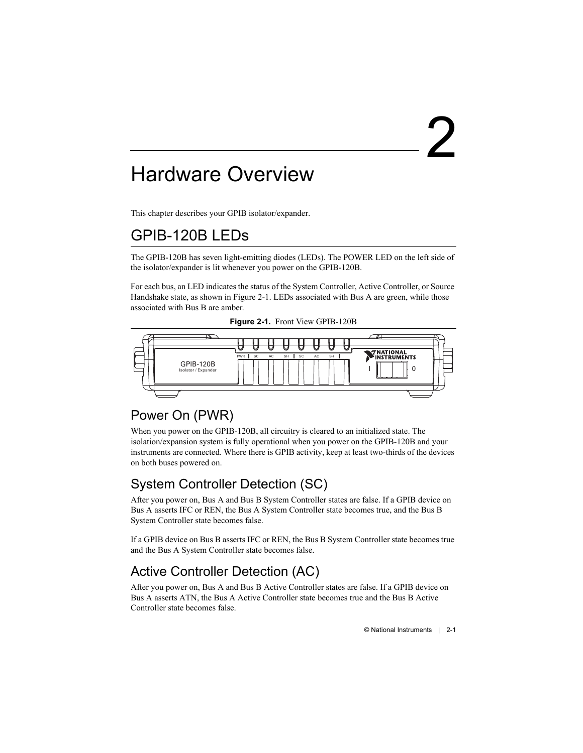# <span id="page-12-8"></span><span id="page-12-1"></span>Hardware Overview

This chapter describes your GPIB isolator/expander.

# <span id="page-12-2"></span>GPIB-120B LEDs

The GPIB-120B has seven light-emitting diodes (LEDs). The POWER LED on the left side of the isolator/expander is lit whenever you power on the GPIB-120B.

For each bus, an LED indicates the status of the System Controller, Active Controller, or Source Handshake state, as shown in Figure [2-1.](#page-12-6) LEDs associated with Bus A are green, while those associated with Bus B are amber.

<span id="page-12-13"></span><span id="page-12-12"></span><span id="page-12-11"></span>

<span id="page-12-6"></span>

# <span id="page-12-3"></span>Power On (PWR)

When you power on the GPIB-120B, all circuitry is cleared to an initialized state. The isolation/expansion system is fully operational when you power on the GPIB-120B and your instruments are connected. Where there is GPIB activity, keep at least two-thirds of the devices on both buses powered on.

# <span id="page-12-4"></span>System Controller Detection (SC)

After you power on, Bus A and Bus B System Controller states are false. If a GPIB device on Bus A asserts IFC or REN, the Bus A System Controller state becomes true, and the Bus B System Controller state becomes false.

If a GPIB device on Bus B asserts IFC or REN, the Bus B System Controller state becomes true and the Bus A System Controller state becomes false.

# <span id="page-12-9"></span><span id="page-12-5"></span>Active Controller Detection (AC)

After you power on, Bus A and Bus B Active Controller states are false. If a GPIB device on Bus A asserts ATN, the Bus A Active Controller state becomes true and the Bus B Active Controller state becomes false.

<span id="page-12-10"></span><span id="page-12-7"></span><span id="page-12-0"></span>2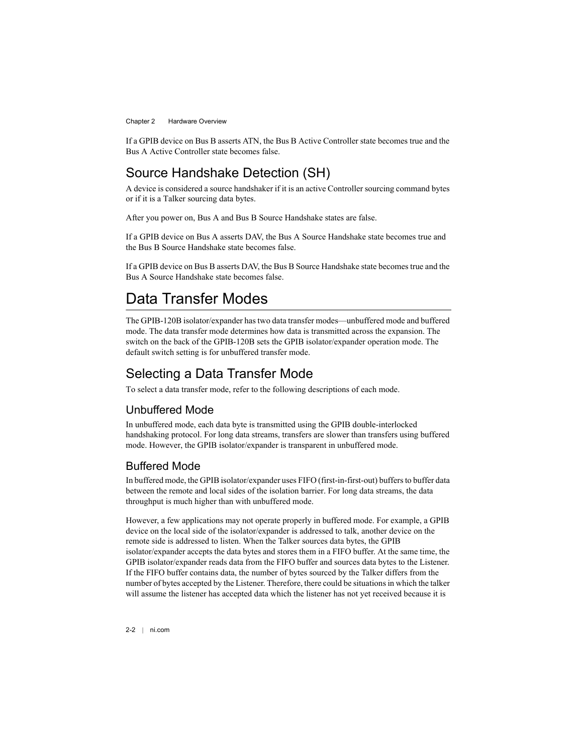<span id="page-13-8"></span>If a GPIB device on Bus B asserts ATN, the Bus B Active Controller state becomes true and the Bus A Active Controller state becomes false.

## <span id="page-13-0"></span>Source Handshake Detection (SH)

A device is considered a source handshaker if it is an active Controller sourcing command bytes or if it is a Talker sourcing data bytes.

After you power on, Bus A and Bus B Source Handshake states are false.

If a GPIB device on Bus A asserts DAV, the Bus A Source Handshake state becomes true and the Bus B Source Handshake state becomes false.

If a GPIB device on Bus B asserts DAV, the Bus B Source Handshake state becomes true and the Bus A Source Handshake state becomes false.

# <span id="page-13-5"></span><span id="page-13-1"></span>Data Transfer Modes

The GPIB-120B isolator/expander has two data transfer modes—unbuffered mode and buffered mode. The data transfer mode determines how data is transmitted across the expansion. The switch on the back of the GPIB-120B sets the GPIB isolator/expander operation mode. The default switch setting is for unbuffered transfer mode.

## <span id="page-13-2"></span>Selecting a Data Transfer Mode

To select a data transfer mode, refer to the following descriptions of each mode.

### <span id="page-13-7"></span><span id="page-13-3"></span>Unbuffered Mode

In unbuffered mode, each data byte is transmitted using the GPIB double-interlocked handshaking protocol. For long data streams, transfers are slower than transfers using buffered mode. However, the GPIB isolator/expander is transparent in unbuffered mode.

### <span id="page-13-6"></span><span id="page-13-4"></span>Buffered Mode

In buffered mode, the GPIB isolator/expander uses FIFO (first-in-first-out) buffers to buffer data between the remote and local sides of the isolation barrier. For long data streams, the data throughput is much higher than with unbuffered mode.

However, a few applications may not operate properly in buffered mode. For example, a GPIB device on the local side of the isolator/expander is addressed to talk, another device on the remote side is addressed to listen. When the Talker sources data bytes, the GPIB isolator/expander accepts the data bytes and stores them in a FIFO buffer. At the same time, the GPIB isolator/expander reads data from the FIFO buffer and sources data bytes to the Listener. If the FIFO buffer contains data, the number of bytes sourced by the Talker differs from the number of bytes accepted by the Listener. Therefore, there could be situations in which the talker will assume the listener has accepted data which the listener has not yet received because it is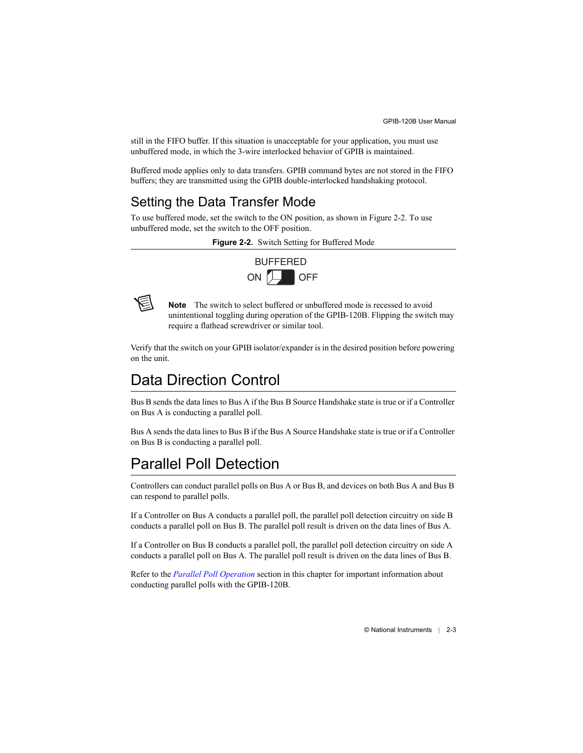still in the FIFO buffer. If this situation is unacceptable for your application, you must use unbuffered mode, in which the 3-wire interlocked behavior of GPIB is maintained.

Buffered mode applies only to data transfers. GPIB command bytes are not stored in the FIFO buffers; they are transmitted using the GPIB double-interlocked handshaking protocol.

# <span id="page-14-4"></span><span id="page-14-0"></span>Setting the Data Transfer Mode

<span id="page-14-3"></span>To use buffered mode, set the switch to the ON position, as shown in Figur[e 2-2.](#page-14-3) To use unbuffered mode, set the switch to the OFF position.

**Figure 2-2.** Switch Setting for Buffered Mode

<span id="page-14-7"></span><span id="page-14-6"></span><span id="page-14-5"></span>



**Note** The switch to select buffered or unbuffered mode is recessed to avoid unintentional toggling during operation of the GPIB-120B. Flipping the switch may require a flathead screwdriver or similar tool.

Verify that the switch on your GPIB isolator/expander is in the desired position before powering on the unit.

# <span id="page-14-1"></span>Data Direction Control

Bus B sends the data lines to Bus A if the Bus B Source Handshake state is true or if a Controller on Bus A is conducting a parallel poll.

Bus A sends the data lines to Bus B if the Bus A Source Handshake state is true or if a Controller on Bus B is conducting a parallel poll.

# <span id="page-14-8"></span><span id="page-14-2"></span>Parallel Poll Detection

Controllers can conduct parallel polls on Bus A or Bus B, and devices on both Bus A and Bus B can respond to parallel polls.

If a Controller on Bus A conducts a parallel poll, the parallel poll detection circuitry on side B conducts a parallel poll on Bus B. The parallel poll result is driven on the data lines of Bus A.

If a Controller on Bus B conducts a parallel poll, the parallel poll detection circuitry on side A conducts a parallel poll on Bus A. The parallel poll result is driven on the data lines of Bus B.

Refer to the *[Parallel Poll Operation](#page-15-0)* section in this chapter for important information about conducting parallel polls with the GPIB-120B.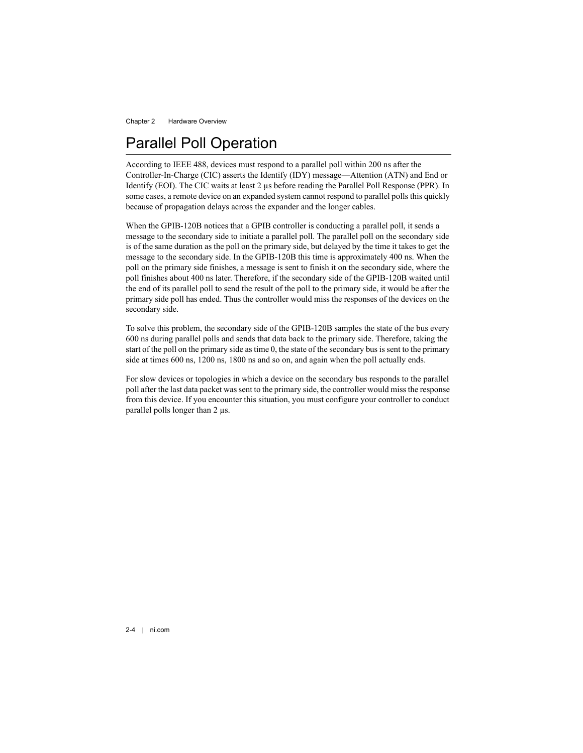# <span id="page-15-1"></span><span id="page-15-0"></span>Parallel Poll Operation

According to IEEE 488, devices must respond to a parallel poll within 200 ns after the Controller-In-Charge (CIC) asserts the Identify (IDY) message—Attention (ATN) and End or Identify (EOI). The CIC waits at least 2 µs before reading the Parallel Poll Response (PPR). In some cases, a remote device on an expanded system cannot respond to parallel polls this quickly because of propagation delays across the expander and the longer cables.

When the GPIB-120B notices that a GPIB controller is conducting a parallel poll, it sends a message to the secondary side to initiate a parallel poll. The parallel poll on the secondary side is of the same duration as the poll on the primary side, but delayed by the time it takes to get the message to the secondary side. In the GPIB-120B this time is approximately 400 ns. When the poll on the primary side finishes, a message is sent to finish it on the secondary side, where the poll finishes about 400 ns later. Therefore, if the secondary side of the GPIB-120B waited until the end of its parallel poll to send the result of the poll to the primary side, it would be after the primary side poll has ended. Thus the controller would miss the responses of the devices on the secondary side.

To solve this problem, the secondary side of the GPIB-120B samples the state of the bus every 600 ns during parallel polls and sends that data back to the primary side. Therefore, taking the start of the poll on the primary side as time 0, the state of the secondary bus is sent to the primary side at times 600 ns, 1200 ns, 1800 ns and so on, and again when the poll actually ends.

For slow devices or topologies in which a device on the secondary bus responds to the parallel poll after the last data packet was sent to the primary side, the controller would miss the response from this device. If you encounter this situation, you must configure your controller to conduct parallel polls longer than 2 µs.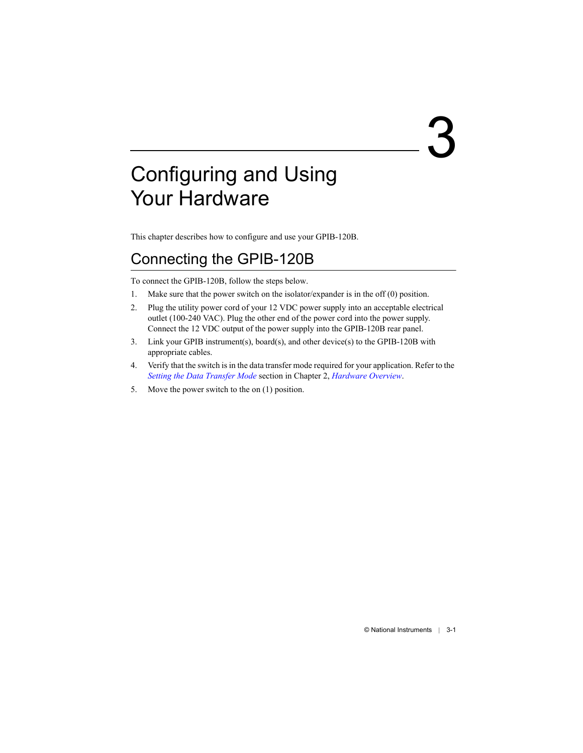# <span id="page-16-4"></span><span id="page-16-0"></span>3

# <span id="page-16-3"></span><span id="page-16-1"></span>Configuring and Using Your Hardware

This chapter describes how to configure and use your GPIB-120B.

# <span id="page-16-2"></span>Connecting the GPIB-120B

To connect the GPIB-120B, follow the steps below.

- 1. Make sure that the power switch on the isolator/expander is in the off (0) position.
- 2. Plug the utility power cord of your 12 VDC power supply into an acceptable electrical outlet (100-240 VAC). Plug the other end of the power cord into the power supply. Connect the 12 VDC output of the power supply into the GPIB-120B rear panel.
- 3. Link your GPIB instrument(s), board(s), and other device(s) to the GPIB-120B with appropriate cables.
- 4. Verify that the switch is in the data transfer mode required for your application. Refer to the *[Setting the Data Transfer Mode](#page-14-4)* section in Chapte[r 2](#page-12-7), *[Hardware Overview](#page-12-8)*.
- 5. Move the power switch to the on (1) position.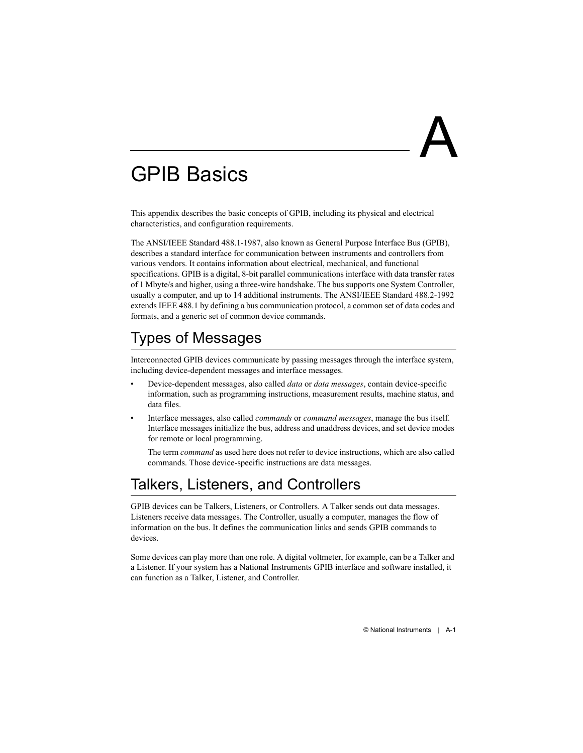<span id="page-17-0"></span>

# <span id="page-17-3"></span><span id="page-17-1"></span>GPIB Basics

This appendix describes the basic concepts of GPIB, including its physical and electrical characteristics, and configuration requirements.

The ANSI/IEEE Standard 488.1-1987, also known as General Purpose Interface Bus (GPIB), describes a standard interface for communication between instruments and controllers from various vendors. It contains information about electrical, mechanical, and functional specifications. GPIB is a digital, 8-bit parallel communications interface with data transfer rates of 1 Mbyte/s and higher, using a three-wire handshake. The bus supports one System Controller, usually a computer, and up to 14 additional instruments. The ANSI/IEEE Standard 488.2-1992 extends IEEE 488.1 by defining a bus communication protocol, a common set of data codes and formats, and a generic set of common device commands.

# <span id="page-17-4"></span>Types of Messages

Interconnected GPIB devices communicate by passing messages through the interface system, including device-dependent messages and interface messages.

- Device-dependent messages, also called *data* or *data messages*, contain device-specific information, such as programming instructions, measurement results, machine status, and data files.
- Interface messages, also called *commands* or *command messages*, manage the bus itself. Interface messages initialize the bus, address and unaddress devices, and set device modes for remote or local programming.

<span id="page-17-2"></span>The term *command* as used here does not refer to device instructions, which are also called commands. Those device-specific instructions are data messages.

# Talkers, Listeners, and Controllers

GPIB devices can be Talkers, Listeners, or Controllers. A Talker sends out data messages. Listeners receive data messages. The Controller, usually a computer, manages the flow of information on the bus. It defines the communication links and sends GPIB commands to devices.

Some devices can play more than one role. A digital voltmeter, for example, can be a Talker and a Listener. If your system has a National Instruments GPIB interface and software installed, it can function as a Talker, Listener, and Controller.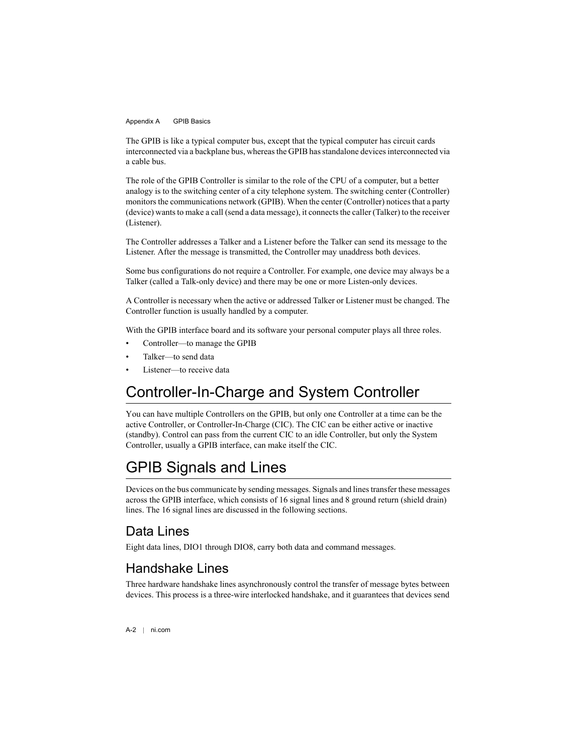The GPIB is like a typical computer bus, except that the typical computer has circuit cards interconnected via a backplane bus, whereas the GPIB has standalone devices interconnected via a cable bus.

The role of the GPIB Controller is similar to the role of the CPU of a computer, but a better analogy is to the switching center of a city telephone system. The switching center (Controller) monitors the communications network (GPIB). When the center (Controller) notices that a party (device) wants to make a call (send a data message), it connects the caller (Talker) to the receiver (Listener).

The Controller addresses a Talker and a Listener before the Talker can send its message to the Listener. After the message is transmitted, the Controller may unaddress both devices.

Some bus configurations do not require a Controller. For example, one device may always be a Talker (called a Talk-only device) and there may be one or more Listen-only devices.

A Controller is necessary when the active or addressed Talker or Listener must be changed. The Controller function is usually handled by a computer.

With the GPIB interface board and its software your personal computer plays all three roles.

- Controller—to manage the GPIB
- Talker—to send data
- <span id="page-18-0"></span>Listener-to receive data

# Controller-In-Charge and System Controller

You can have multiple Controllers on the GPIB, but only one Controller at a time can be the active Controller, or Controller-In-Charge (CIC). The CIC can be either active or inactive (standby). Control can pass from the current CIC to an idle Controller, but only the System Controller, usually a GPIB interface, can make itself the CIC.

# <span id="page-18-2"></span>GPIB Signals and Lines

Devices on the bus communicate by sending messages. Signals and lines transfer these messages across the GPIB interface, which consists of 16 signal lines and 8 ground return (shield drain) lines. The 16 signal lines are discussed in the following sections.

## <span id="page-18-1"></span>Data Lines

Eight data lines, DIO1 through DIO8, carry both data and command messages.

## Handshake Lines

Three hardware handshake lines asynchronously control the transfer of message bytes between devices. This process is a three-wire interlocked handshake, and it guarantees that devices send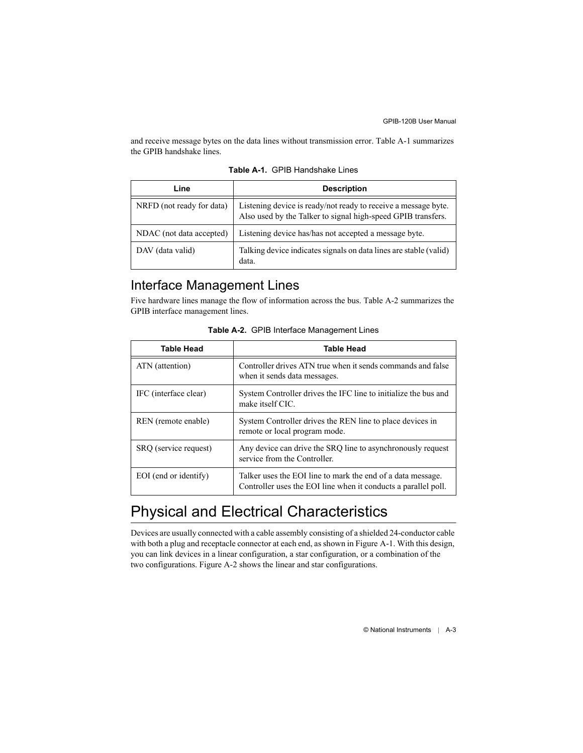and receive message bytes on the data lines without transmission error. Tabl[e A-1](#page-19-0) summarizes the GPIB handshake lines.

<span id="page-19-0"></span>

| Line                      | <b>Description</b>                                                                                                             |
|---------------------------|--------------------------------------------------------------------------------------------------------------------------------|
| NRFD (not ready for data) | Listening device is ready/not ready to receive a message byte.<br>Also used by the Talker to signal high-speed GPIB transfers. |
| NDAC (not data accepted)  | Listening device has/has not accepted a message byte.                                                                          |
| DAV (data valid)          | Talking device indicates signals on data lines are stable (valid)<br>data.                                                     |

<span id="page-19-5"></span><span id="page-19-2"></span>**Table A-1.** GPIB Handshake Lines

## Interface Management Lines

Five hardware lines manage the flow of information across the bus. Tabl[e A-2](#page-19-1) summarizes the GPIB interface management lines.

<span id="page-19-1"></span>

| <b>Table Head</b>     | <b>Table Head</b>                                                                                                             |
|-----------------------|-------------------------------------------------------------------------------------------------------------------------------|
| ATN (attention)       | Controller drives ATN true when it sends commands and false<br>when it sends data messages.                                   |
| IFC (interface clear) | System Controller drives the IFC line to initialize the bus and<br>make itself CIC.                                           |
| REN (remote enable)   | System Controller drives the REN line to place devices in<br>remote or local program mode.                                    |
| SRQ (service request) | Any device can drive the SRQ line to asynchronously request<br>service from the Controller.                                   |
| EOI (end or identify) | Talker uses the EOI line to mark the end of a data message.<br>Controller uses the EOI line when it conducts a parallel poll. |

<span id="page-19-6"></span><span id="page-19-4"></span><span id="page-19-3"></span>**Table A-2.** GPIB Interface Management Lines

# Physical and Electrical Characteristics

Devices are usually connected with a cable assembly consisting of a shielded 24-conductor cable with both a plug and receptacle connector at each end, as shown in Figure [A-1](#page-20-0). With this design, you can link devices in a linear configuration, a star configuration, or a combination of the two configurations. Figure [A-2](#page-20-1) shows the linear and star configurations.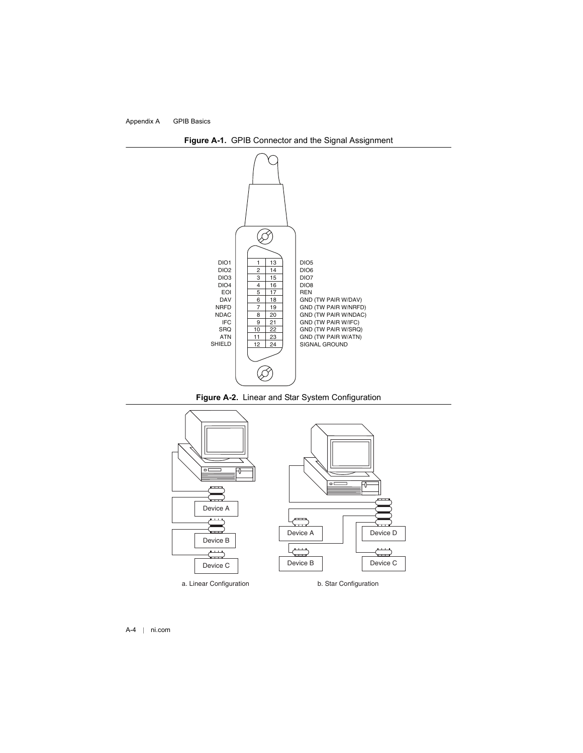<span id="page-20-0"></span>

<span id="page-20-4"></span><span id="page-20-3"></span>

<span id="page-20-2"></span>

<span id="page-20-1"></span>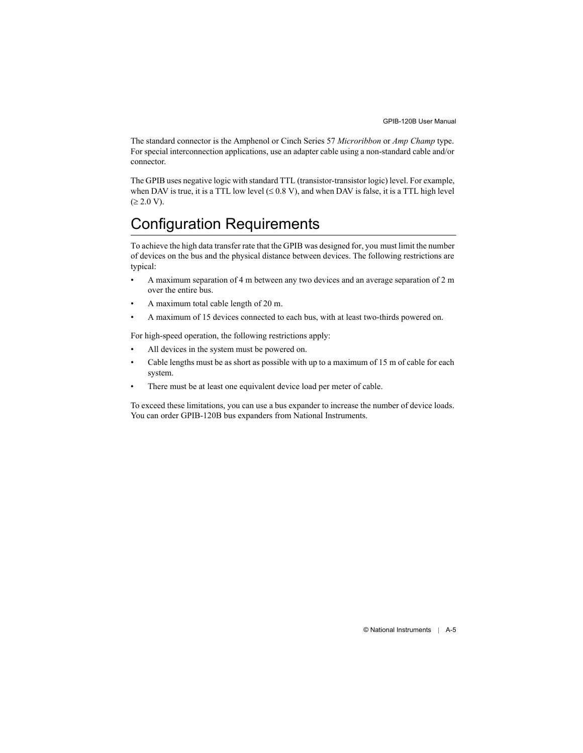The standard connector is the Amphenol or Cinch Series 57 *Microribbon* or *Amp Champ* type. For special interconnection applications, use an adapter cable using a non-standard cable and/or connector.

The GPIB uses negative logic with standard TTL (transistor-transistor logic) level. For example, when DAV is true, it is a TTL low level  $(\leq 0.8 \text{ V})$ , and when DAV is false, it is a TTL high level  $( \ge 2.0 \text{ V}).$ 

# <span id="page-21-0"></span>Configuration Requirements

To achieve the high data transfer rate that the GPIB was designed for, you must limit the number of devices on the bus and the physical distance between devices. The following restrictions are typical:

- A maximum separation of 4 m between any two devices and an average separation of 2 m over the entire bus.
- A maximum total cable length of 20 m.
- A maximum of 15 devices connected to each bus, with at least two-thirds powered on.

For high-speed operation, the following restrictions apply:

- All devices in the system must be powered on.
- Cable lengths must be as short as possible with up to a maximum of 15 m of cable for each system.
- There must be at least one equivalent device load per meter of cable.

To exceed these limitations, you can use a bus expander to increase the number of device loads. You can order GPIB-120B bus expanders from National Instruments.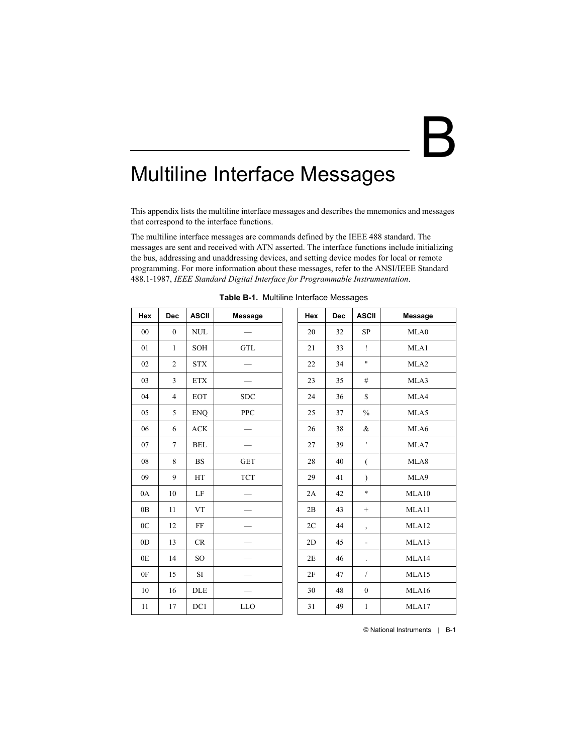# <span id="page-22-2"></span><span id="page-22-0"></span>B

# <span id="page-22-1"></span>Multiline Interface Messages

This appendix lists the multiline interface messages and describes the mnemonics and messages that correspond to the interface functions.

The multiline interface messages are commands defined by the IEEE 488 standard. The messages are sent and received with ATN asserted. The interface functions include initializing the bus, addressing and unaddressing devices, and setting device modes for local or remote programming. For more information about these messages, refer to the ANSI/IEEE Standard 488.1-1987, *IEEE Standard Digital Interface for Programmable Instrumentation*.

| Hex            | <b>Dec</b>     | <b>ASCII</b>    | <b>Message</b> | Hex | <b>Dec</b> | <b>ASCII</b>         | <b>Message</b>   |
|----------------|----------------|-----------------|----------------|-----|------------|----------------------|------------------|
| 00             | $\mathbf{0}$   | $\text{NULL}$   |                | 20  | 32         | SP                   | MLA0             |
| 01             | $\mathbf{1}$   | SOH             | <b>GTL</b>     | 21  | 33         | Ţ                    | MLA1             |
| 02             | $\overline{2}$ | <b>STX</b>      |                | 22  | 34         | Ħ                    | MLA <sub>2</sub> |
| 03             | 3              | <b>ETX</b>      |                | 23  | 35         | #                    | MLA3             |
| 04             | $\overline{4}$ | <b>EOT</b>      | <b>SDC</b>     | 24  | 36         | $\mathbf S$          | MLA4             |
| 05             | 5              | <b>ENQ</b>      | <b>PPC</b>     | 25  | 37         | $\%$                 | MLA5             |
| 06             | 6              | <b>ACK</b>      |                | 26  | 38         | &                    | MLA6             |
| 07             | $\overline{7}$ | <b>BEL</b>      |                | 27  | 39         | ٠                    | MLA7             |
| 08             | 8              | <b>BS</b>       | <b>GET</b>     | 28  | 40         | €                    | MLA8             |
| 09             | 9              | HT              | <b>TCT</b>     | 29  | 41         | $\mathcal{E}$        | MLA9             |
| 0A             | 10             | LF              |                | 2A  | 42         | *                    | MLA10            |
| 0B             | 11             | <b>VT</b>       |                | 2B  | 43         | $\! +$               | MLA11            |
| 0 <sup>C</sup> | 12             | FF              |                | 2C  | 44         | $\overline{ }$       | MLA12            |
| 0 <sub>D</sub> | 13             | CR              |                | 2D  | 45         | $\blacksquare$       | MLA13            |
| 0E             | 14             | SO <sub>1</sub> |                | 2E  | 46         | $\ddot{\phantom{0}}$ | MLA14            |
| 0F             | 15             | SI              |                | 2F  | 47         | $\sqrt{2}$           | MLA15            |
| 10             | 16             | <b>DLE</b>      |                | 30  | 48         | $\mathbf{0}$         | MLA16            |
| 11             | 17             | DC1             | <b>LLO</b>     | 31  | 49         | $\mathbf{1}$         | MLA17            |

| Table B-1. Multiline Interface Messages |  |  |
|-----------------------------------------|--|--|
|                                         |  |  |

<span id="page-22-4"></span><span id="page-22-3"></span>

| Hex | <b>Dec</b> | <b>ASCII</b>   | Message          |
|-----|------------|----------------|------------------|
| 20  | 32         | SP             | MLA0             |
| 21  | 33         | Ĩ              | MLA1             |
| 22  | 34         | Ħ              | MLA <sub>2</sub> |
| 23  | 35         | #              | MLA3             |
| 24  | 36         | \$             | MLA4             |
| 25  | 37         | $\frac{0}{0}$  | MLA5             |
| 26  | 38         | &              | MLA6             |
| 27  | 39         | ł              | MLA7             |
| 28  | 40         | $\overline{(}$ | MLA8             |
| 29  | 41         | $\mathcal{E}$  | MLA9             |
| 2A  | 42         | $\ast$         | MLA10            |
| 2B  | 43         | $^{+}$         | MLA11            |
| 2C  | 44         | ,              | MLA12            |
| 2D  | 45         |                | MLA13            |
| 2E  | 46         |                | MLA14            |
| 2F  | 47         | 7              | MLA15            |
| 30  | 48         | 0              | MLA16            |
| 31  | 49         | $\mathbf{1}$   | MLA17            |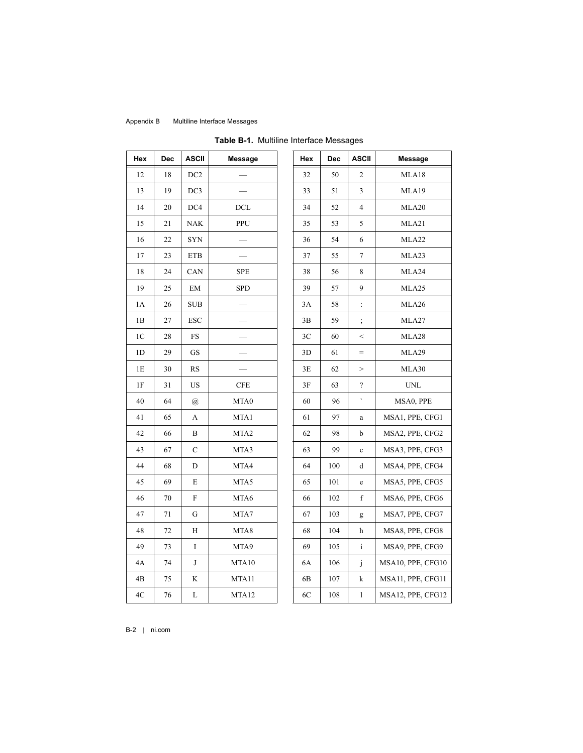| Hex            | Dec | <b>ASCII</b>                | Message    | Hex | Dec | <b>ASCII</b>               | Message                   |
|----------------|-----|-----------------------------|------------|-----|-----|----------------------------|---------------------------|
| 12             | 18  | DC <sub>2</sub>             |            | 32  | 50  | 2                          | MLA18                     |
| 13             | 19  | DC3                         |            | 33  | 51  | 3                          | MLA19                     |
| 14             | 20  | DC4                         | DCL        | 34  | 52  | 4                          | MLA20                     |
| 15             | 21  | <b>NAK</b>                  | PPU        | 35  | 53  | 5                          | MLA21                     |
| 16             | 22  | <b>SYN</b>                  |            | 36  | 54  | 6                          | MLA22                     |
| 17             | 23  | ${\rm ETB}$                 |            | 37  | 55  | 7                          | MLA23                     |
| 18             | 24  | CAN                         | <b>SPE</b> | 38  | 56  | 8                          | MLA24                     |
| 19             | 25  | EM                          | SPD        | 39  | 57  | 9                          | MLA25                     |
| 1A             | 26  | $\rm SUB$                   |            | 3A  | 58  | ÷                          | MLA26                     |
| 1B             | 27  | <b>ESC</b>                  |            | 3B  | 59  | $\vdots$                   | MLA27                     |
| 1C             | 28  | FS                          |            | 3C  | 60  | $\,<$                      | MLA28                     |
| 1 <sub>D</sub> | 29  | GS                          |            | 3D  | 61  | $=$                        | MLA29                     |
| 1E             | 30  | <b>RS</b>                   |            | 3E  | 62  | $\,>$                      | MLA30                     |
| 1F             | 31  | US                          | CFE        | 3F  | 63  | $\boldsymbol{\mathcal{C}}$ | $\ensuremath{\text{UNL}}$ |
| 40             | 64  | $\left(\overline{a}\right)$ | MTA0       | 60  | 96  | $\hat{\phantom{a}}$        | MSA0, PPE                 |
| 41             | 65  | A                           | MTA1       | 61  | 97  | $\rm{a}$                   | MSA1, PPE, CI             |
| 42             | 66  | B                           | MTA2       | 62  | 98  | b                          | MSA2, PPE, CI             |
| 43             | 67  | C                           | MTA3       | 63  | 99  | $\mathbf c$                | MSA3, PPE, CI             |
| 44             | 68  | D                           | MTA4       | 64  | 100 | d                          | MSA4, PPE, CI             |
| 45             | 69  | E                           | MTA5       | 65  | 101 | $\mathbf e$                | MSA5, PPE, CI             |
| 46             | 70  | $\boldsymbol{\mathrm{F}}$   | MTA6       | 66  | 102 | $\mathbf f$                | MSA6, PPE, CI             |
| 47             | 71  | G                           | MTA7       | 67  | 103 | g                          | MSA7, PPE, CI             |
| 48             | 72  | H                           | MTA8       | 68  | 104 | h                          | MSA8, PPE, CI             |
| 49             | 73  | I                           | MTA9       | 69  | 105 | $\rm i$                    | MSA9, PPE, CI             |
| 4A             | 74  | J                           | MTA10      | 6A  | 106 | j                          | MSA10, PPE, CI            |
| 4B             | 75  | K                           | MTA11      | 6B  | 107 | $\mathbf k$                | MSA11, PPE, CI            |
| $4\mathrm{C}$  | 76  | L                           | MTA12      | 6C  | 108 | $\bf{l}$                   | MSA12, PPE, CI            |
|                |     |                             |            |     |     |                            |                           |

|  |  |  | Table B-1. Multiline Interface Messages |
|--|--|--|-----------------------------------------|
|--|--|--|-----------------------------------------|

| łех            | Dec | ASCII                     | <b>Message</b>   | Hex            | Dec | <b>ASCII</b>             | Message           |
|----------------|-----|---------------------------|------------------|----------------|-----|--------------------------|-------------------|
| 12             | 18  | DC <sub>2</sub>           |                  | 32             | 50  | 2                        | MLA18             |
| 13             | 19  | DC3                       |                  | 33             | 51  | 3                        | MLA19             |
| 14             | 20  | DC4                       | <b>DCL</b>       | 34             | 52  | 4                        | MLA20             |
| 15             | 21  | NAK                       | PPU              | 35             | 53  | 5                        | MLA21             |
| 16             | 22  | <b>SYN</b>                |                  | 36             | 54  | 6                        | MLA22             |
| $17\,$         | 23  | <b>ETB</b>                |                  | 37             | 55  | 7                        | MLA23             |
| 18             | 24  | CAN                       | <b>SPE</b>       | 38             | 56  | 8                        | MLA24             |
| 19             | 25  | EM                        | <b>SPD</b>       | 39             | 57  | 9                        | MLA <sub>25</sub> |
| 1A             | 26  | SUB                       |                  | 3A             | 58  | $\ddot{\cdot}$           | MLA26             |
| 1В             | 27  | ESC                       |                  | 3B             | 59  | $\vdots$                 | MLA27             |
| 1 <sup>C</sup> | 28  | FS                        |                  | 3C             | 60  | $\,<$                    | MLA28             |
| 1D             | 29  | GS                        |                  | 3D             | 61  | $=$                      | MLA29             |
| 1E             | 30  | <b>RS</b>                 |                  | 3E             | 62  | >                        | MLA30             |
| $1\mathrm{F}$  | 31  | <b>US</b>                 | <b>CFE</b>       | 3F             | 63  | $\overline{\mathcal{C}}$ | <b>UNL</b>        |
| 40             | 64  | @                         | MTA0             | 60             | 96  | $\bar{\phantom{a}}$      | MSA0, PPE         |
| 41             | 65  | A                         | MTA1             | 61             | 97  | $\rm{a}$                 | MSA1, PPE, CFG1   |
| 42             | 66  | B                         | MTA <sub>2</sub> | 62             | 98  | b                        | MSA2, PPE, CFG2   |
| 43             | 67  | $\mathcal{C}$             | MTA3             | 63             | 99  | $\mathbf c$              | MSA3, PPE, CFG3   |
| 44             | 68  | D                         | MTA4             | 64             | 100 | d                        | MSA4, PPE, CFG4   |
| 45             | 69  | Е                         | MTA5             | 65             | 101 | e                        | MSA5, PPE, CFG5   |
| 46             | 70  | $\boldsymbol{\mathrm{F}}$ | MTA6             | 66             | 102 | $\mathbf f$              | MSA6, PPE, CFG6   |
| 47             | 71  | G                         | MTA7             | 67             | 103 | g                        | MSA7, PPE, CFG7   |
| 48             | 72  | H                         | MTA8             | 68             | 104 | h                        | MSA8, PPE, CFG8   |
| 49             | 73  | I                         | MTA9             | 69             | 105 | $\rm i$                  | MSA9, PPE, CFG9   |
| 4Α             | 74  | J                         | MTA10            | 6A             | 106 | j                        | MSA10, PPE, CFG10 |
| 4В             | 75  | K                         | MTA11            | 6 <sub>B</sub> | 107 | k                        | MSA11, PPE, CFG11 |
| 4C             | 76  | L                         | MTA12            | 6C             | 108 | $\bf{l}$                 | MSA12, PPE, CFG12 |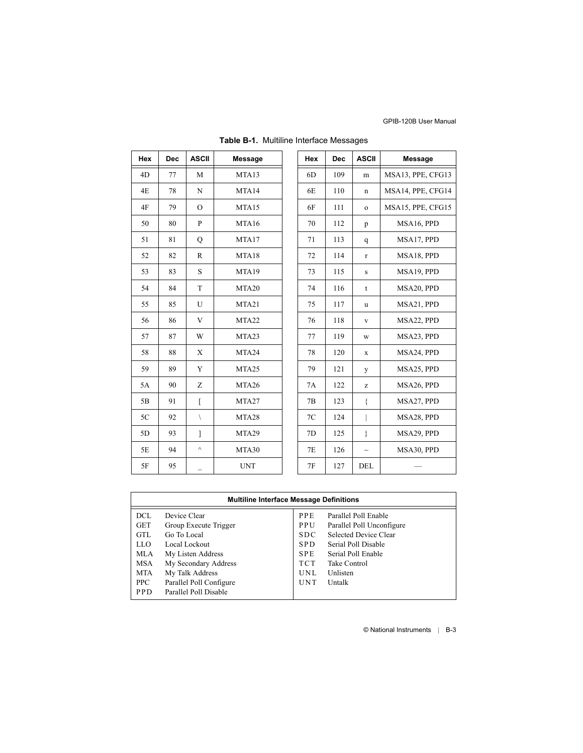| Hex | <b>Dec</b> | <b>ASCII</b>   | <b>Message</b> | Hex | <b>Dec</b> | <b>ASCII</b> | <b>Message</b>    |
|-----|------------|----------------|----------------|-----|------------|--------------|-------------------|
| 4D  | 77         | M              | MTA13          | 6D  | 109        | m            | MSA13, PPE, CFG13 |
| 4E  | 78         | $\mathbf N$    | MTA14          | 6E  | 110        | $\mathbf n$  | MSA14, PPE, CFG14 |
| 4F  | 79         | $\mathcal{O}$  | MTA15          | 6F  | 111        | $\mathbf{o}$ | MSA15, PPE, CFG15 |
| 50  | 80         | $\mathbf{P}$   | MTA16          | 70  | 112        | p            | MSA16, PPD        |
| 51  | 81         | Q              | MTA17          | 71  | 113        | q            | MSA17, PPD        |
| 52  | 82         | $\mathbb{R}$   | MTA18          | 72  | 114        | $\mathbf{r}$ | MSA18, PPD        |
| 53  | 83         | $\mathbf S$    | MTA19          | 73  | 115        | S            | MSA19, PPD        |
| 54  | 84         | T              | MTA20          | 74  | 116        | t            | MSA20, PPD        |
| 55  | 85         | U              | MTA21          | 75  | 117        | u            | MSA21, PPD        |
| 56  | 86         | V              | MTA22          | 76  | 118        | V            | MSA22, PPD        |
| 57  | 87         | W              | MTA23          | 77  | 119        | W            | MSA23, PPD        |
| 58  | 88         | X              | MTA24          | 78  | 120        | X            | MSA24, PPD        |
| 59  | 89         | Y              | MTA25          | 79  | 121        | y            | MSA25, PPD        |
| 5A  | 90         | Z              | MTA26          | 7A  | 122        | z            | MSA26, PPD        |
| 5B  | 91         | $\overline{[}$ | MTA27          | 7B  | 123        | ₹            | MSA27, PPD        |
| 5C  | 92         | $\setminus$    | MTA28          | 7C  | 124        |              | MSA28, PPD        |
| 5D  | 93         | 1              | MTA29          | 7D  | 125        | ł            | MSA29, PPD        |
| 5E  | 94         | $\wedge$       | MTA30          | 7E  | 126        | $\sim$       | MSA30, PPD        |
| 5F  | 95         |                | <b>UNT</b>     | 7F  | 127        | DEL          |                   |

| Table B-1. Multiline Interface Messages |  |  |  |
|-----------------------------------------|--|--|--|
|-----------------------------------------|--|--|--|

| <b>Multiline Interface Message Definitions</b>                                           |                                                                                                                                                                  |                                                                                                       |                                                                                                                                                               |  |  |
|------------------------------------------------------------------------------------------|------------------------------------------------------------------------------------------------------------------------------------------------------------------|-------------------------------------------------------------------------------------------------------|---------------------------------------------------------------------------------------------------------------------------------------------------------------|--|--|
| <b>DCL</b><br><b>GET</b><br><b>GTL</b><br>LLO.<br><b>MLA</b><br>MSA<br><b>MTA</b><br>PPC | Device Clear<br>Group Execute Trigger<br>Go To Local<br>Local Lockout<br>My Listen Address<br>My Secondary Address<br>My Talk Address<br>Parallel Poll Configure | <b>PPE</b><br>PPU<br><b>SDC</b><br><b>SPD</b><br><b>SPE</b><br><b>TCT</b><br><b>UNL</b><br><b>UNT</b> | Parallel Poll Enable<br>Parallel Poll Unconfigure<br>Selected Device Clear<br>Serial Poll Disable<br>Serial Poll Enable<br>Take Control<br>Unlisten<br>Untalk |  |  |
| <b>PPD</b>                                                                               | Parallel Poll Disable                                                                                                                                            |                                                                                                       |                                                                                                                                                               |  |  |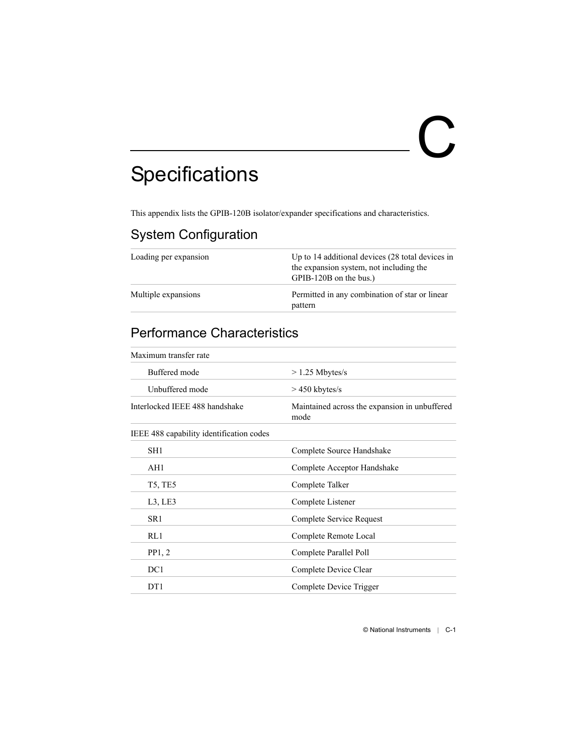# <span id="page-25-0"></span> $\bf C$

# <span id="page-25-1"></span>**Specifications**

<span id="page-25-2"></span>This appendix lists the GPIB-120B isolator/expander specifications and characteristics.

# System Configuration

| Loading per expansion | Up to 14 additional devices (28 total devices in<br>the expansion system, not including the<br>GPIB-120B on the bus.) |  |  |
|-----------------------|-----------------------------------------------------------------------------------------------------------------------|--|--|
| Multiple expansions   | Permitted in any combination of star or linear<br>pattern                                                             |  |  |

# <span id="page-25-3"></span>Performance Characteristics

| Maximum transfer rate                    |                                                       |  |  |
|------------------------------------------|-------------------------------------------------------|--|--|
| Buffered mode                            | $>$ 1.25 Mbytes/s                                     |  |  |
| Unbuffered mode                          | $>$ 450 kbytes/s                                      |  |  |
| Interlocked IEEE 488 handshake           | Maintained across the expansion in unbuffered<br>mode |  |  |
| IEEE 488 capability identification codes |                                                       |  |  |
| SH <sub>1</sub>                          | Complete Source Handshake                             |  |  |
| AH1                                      | Complete Acceptor Handshake                           |  |  |
| <b>T5, TE5</b>                           | Complete Talker                                       |  |  |
| L3, LE3                                  | Complete Listener                                     |  |  |
| SR <sub>1</sub>                          | Complete Service Request                              |  |  |
| RL1                                      | Complete Remote Local                                 |  |  |
| PP1, 2                                   | Complete Parallel Poll                                |  |  |
| DC1                                      | Complete Device Clear                                 |  |  |
| DT <sub>1</sub>                          | Complete Device Trigger                               |  |  |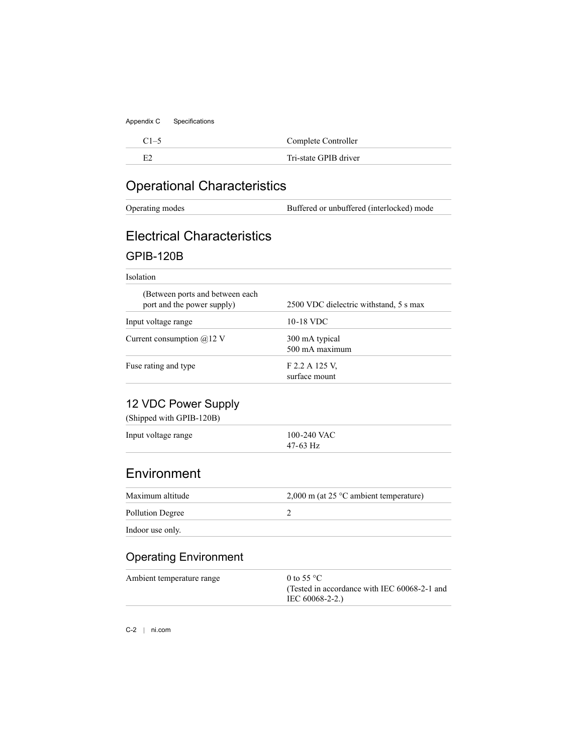C1–5 Complete Controller

<span id="page-26-1"></span><span id="page-26-0"></span>

E2 Tri-state GPIB driver

# Operational Characteristics

Operating modes Buffered or unbuffered (interlocked) mode

# Electrical Characteristics

#### GPIB-120B

#### Isolation

| (Between ports and between each)<br>port and the power supply) | 2500 VDC dielectric withstand, 5 s max |
|----------------------------------------------------------------|----------------------------------------|
| Input voltage range                                            | 10-18 VDC                              |
| Current consumption $\omega$ 12 V                              | 300 mA typical<br>500 mA maximum       |
| Fuse rating and type                                           | F 2.2 A 125 V.<br>surface mount        |

### 12 VDC Power Supply

(Shipped with GPIB-120B)

| Input voltage range | 100-240 VAC |
|---------------------|-------------|
|                     | $47-63$ Hz  |

## **Environment**

| Maximum altitude | $2,000$ m (at 25 °C ambient temperature) |
|------------------|------------------------------------------|
| Pollution Degree |                                          |
| Indoor use only. |                                          |

## Operating Environment

| Ambient temperature range | 0 to 55 $^{\circ}$ C                         |
|---------------------------|----------------------------------------------|
|                           | (Tested in accordance with IEC 60068-2-1 and |
|                           | IEC 60068-2-2.)                              |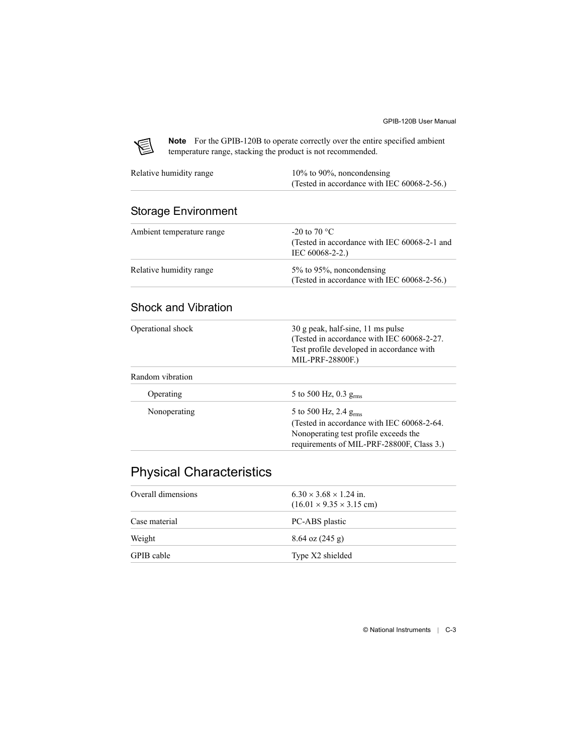

**Note** For the GPIB-120B to operate correctly over the entire specified ambient temperature range, stacking the product is not recommended.

| Relative humidity range | $10\%$ to 90%, noncondensing                   |
|-------------------------|------------------------------------------------|
|                         | (Tested in accordance with IEC $60068-2-56$ .) |

#### Storage Environment

| Ambient temperature range | -20 to 70 $^{\circ}$ C<br>(Tested in accordance with IEC 60068-2-1 and<br>$IEC 60068-2-2.$ |
|---------------------------|--------------------------------------------------------------------------------------------|
| Relative humidity range   | $5\%$ to 95%, noncondensing<br>(Tested in accordance with IEC 60068-2-56.)                 |

#### Shock and Vibration

| Operational shock | 30 g peak, half-sine, 11 ms pulse<br>(Tested in accordance with IEC 60068-2-27.<br>Test profile developed in accordance with |
|-------------------|------------------------------------------------------------------------------------------------------------------------------|
|                   | MIL-PRF-28800F.)                                                                                                             |
| Random vibration  |                                                                                                                              |
| Operating         | 5 to 500 Hz, 0.3 $g_{rms}$                                                                                                   |
| Nonoperating      | 5 to 500 Hz, 2.4 $g_{rms}$                                                                                                   |
|                   | (Tested in accordance with IEC 60068-2-64.                                                                                   |
|                   | Nonoperating test profile exceeds the                                                                                        |
|                   | requirements of MIL-PRF-28800F, Class 3.)                                                                                    |
|                   |                                                                                                                              |

## <span id="page-27-0"></span>Physical Characteristics

| Overall dimensions | $6.30 \times 3.68 \times 1.24$ in.<br>$(16.01 \times 9.35 \times 3.15$ cm) |
|--------------------|----------------------------------------------------------------------------|
| Case material      | PC-ABS plastic                                                             |
| Weight             | $8.64 \text{ oz} (245 \text{ g})$                                          |
| GPIB cable         | Type X2 shielded                                                           |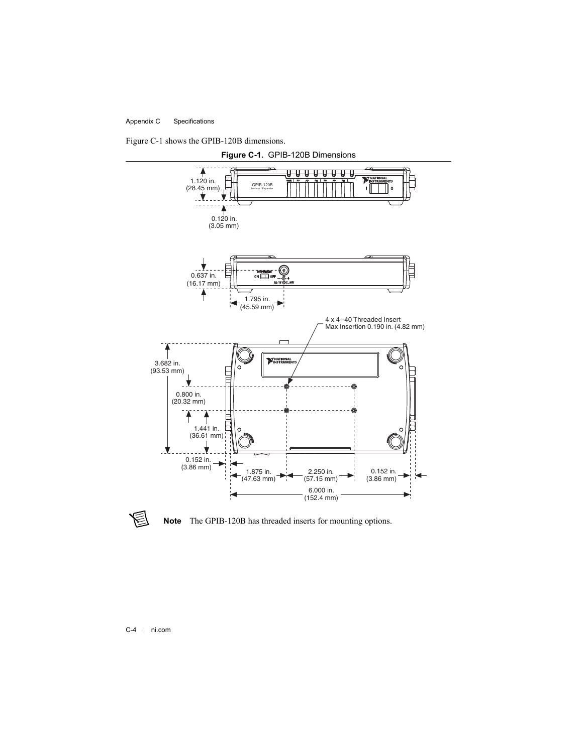

<span id="page-28-0"></span>



**Note** The GPIB-120B has threaded inserts for mounting options.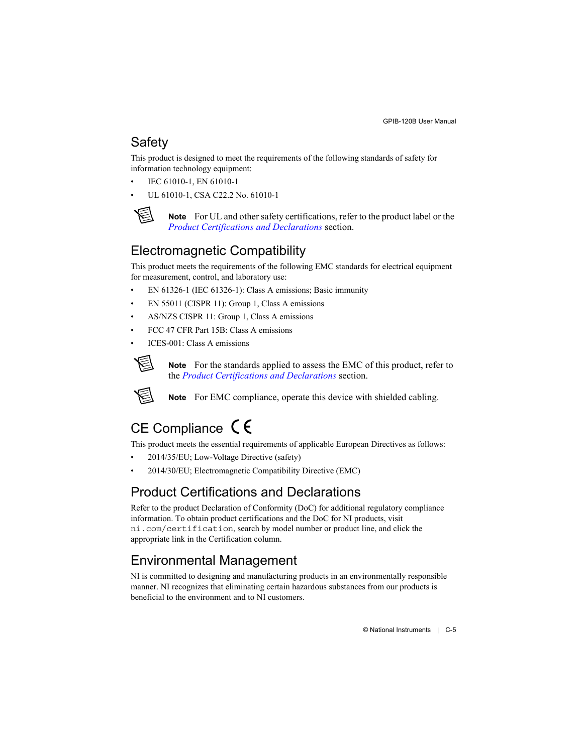# <span id="page-29-5"></span>**Safety**

This product is designed to meet the requirements of the following standards of safety for information technology equipment:

- IEC 61010-1, EN 61010-1
- UL 61010-1, CSA C22.2 No. 61010-1



<span id="page-29-2"></span>**Note** For UL and other safety certifications, refer to the product label or the *[Product Certifications and Declarations](#page-29-0)* section.

# Electromagnetic Compatibility

This product meets the requirements of the following EMC standards for electrical equipment for measurement, control, and laboratory use:

- EN 61326-1 (IEC 61326-1): Class A emissions: Basic immunity
- EN 55011 (CISPR 11): Group 1, Class A emissions
- AS/NZS CISPR 11: Group 1, Class A emissions
- FCC 47 CFR Part 15B: Class A emissions
- $ICES-001$ <sup> $\cdot$ </sup> Class A emissions



**Note** For the standards applied to assess the EMC of this product, refer to the *[Product Certifications and Declarations](#page-29-0)* section.



<span id="page-29-4"></span><span id="page-29-1"></span>**Note** For EMC compliance, operate this device with shielded cabling.

# CE Compliance  $\zeta \epsilon$

This product meets the essential requirements of applicable European Directives as follows:

- 2014/35/EU; Low-Voltage Directive (safety)
- 2014/30/EU; Electromagnetic Compatibility Directive (EMC)

# <span id="page-29-0"></span>Product Certifications and Declarations

Refer to the product Declaration of Conformity (DoC) for additional regulatory compliance information. To obtain product certifications and the DoC for NI products, visit ni.com/certification, search by model number or product line, and click the appropriate link in the Certification column.

# <span id="page-29-3"></span>Environmental Management

NI is committed to designing and manufacturing products in an environmentally responsible manner. NI recognizes that eliminating certain hazardous substances from our products is beneficial to the environment and to NI customers.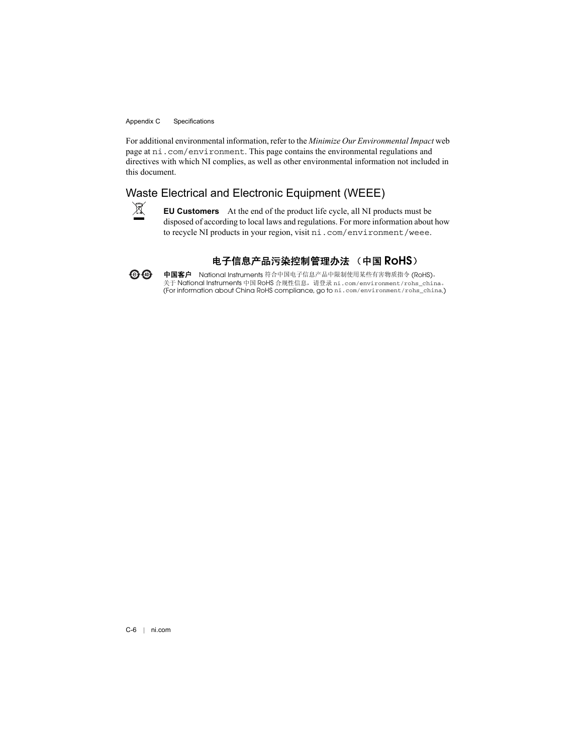For additional environmental information, refer to the *Minimize Our Environmental Impact* web page at ni.com/environment. This page contains the environmental regulations and directives with which NI complies, as well as other environmental information not included in this document.

#### Waste Electrical and Electronic Equipment (WEEE)



 $\bigoplus \bigoplus$ 

**EU Customers** At the end of the product life cycle, all NI products must be disposed of according to local laws and regulations. For more information about how to recycle NI products in your region, visit ni.com/environment/weee.

#### <span id="page-30-0"></span>电子信息产品污染控制管理办法 (中国 RoHS)

中国客户 National Instruments 符合中国电子信息产品中限制使用某些有害物质指令 (RoHS)。<br>关于 National Instruments 中国 RoHS 合规性信息,请登录 ni .com/environment/rohs\_china。 关于 National Instruments 中国 RoHS 合规性信息,请登录 ni . com/environment/rohs\_china。<br>(For information about China RoHS compliance, go to ni . com/environment/rohs\_china.)<br>.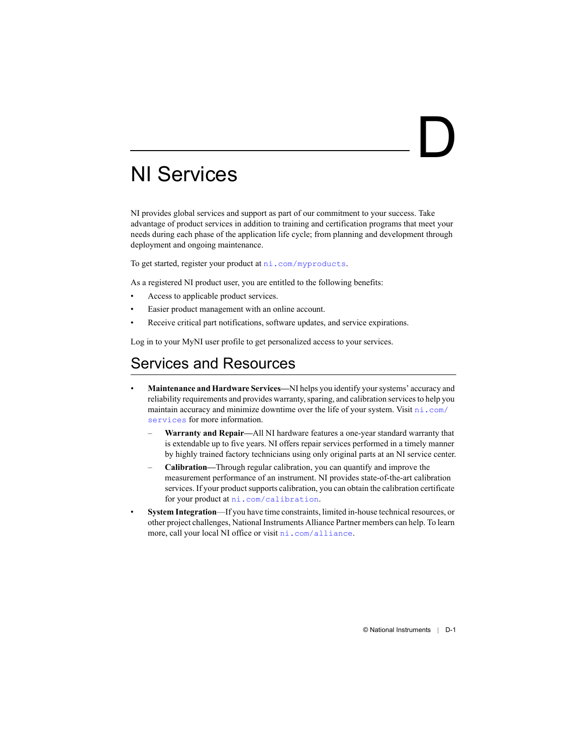# <span id="page-31-2"></span><span id="page-31-0"></span>NI Services

NI provides global services and support as part of our commitment to your success. Take advantage of product services in addition to training and certification programs that meet your needs during each phase of the application life cycle; from planning and development through deployment and ongoing maintenance.

To get started, register your product at  $ni$ .com/myproducts.

As a registered NI product user, you are entitled to the following benefits:

- Access to applicable product services.
- Easier product management with an online account.
- Receive critical part notifications, software updates, and service expirations.

Log in to your MyNI user profile to get personalized access to your services.

# Services and Resources

- **Maintenance and Hardware Services—**NI helps you identify your systems' accuracy and reliability requirements and provides warranty, sparing, and calibration services to help you maintain accuracy and minimize downtime over the life of your system. Visit [ni.com/](http://www.ni.com/services) [services](http://www.ni.com/services) for more information.
	- **Warranty and Repair—**All NI hardware features a one-year standard warranty that is extendable up to five years. NI offers repair services performed in a timely manner by highly trained factory technicians using only original parts at an NI service center.
	- **Calibration—**Through regular calibration, you can quantify and improve the measurement performance of an instrument. NI provides state-of-the-art calibration services. If your product supports calibration, you can obtain the calibration certificate for your product at [ni.com/calibration](http://www.ni.com/calibration).
- **System Integration**—If you have time constraints, limited in-house technical resources, or other project challenges, National Instruments Alliance Partner members can help. To learn more, call your local NI office or visit [ni.com/alliance](http://www.ni.com/alliance).

<span id="page-31-1"></span>D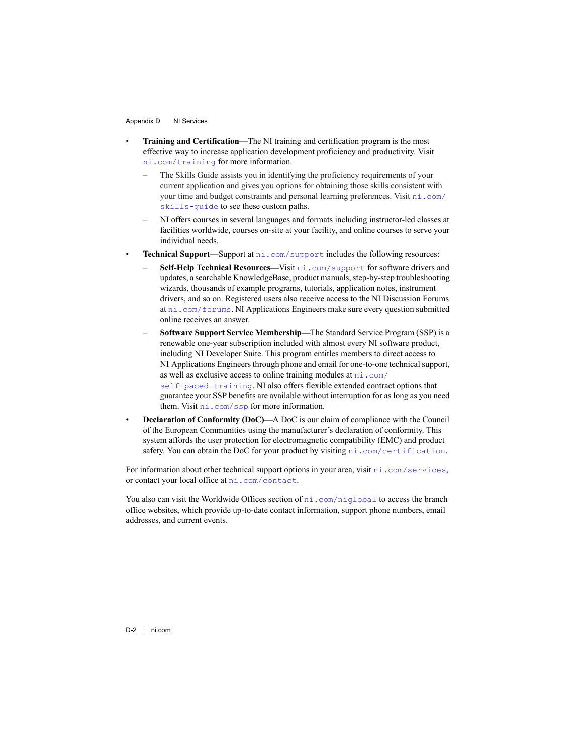- **Training and Certification—**The NI training and certification program is the most effective way to increase application development proficiency and productivity. Visit [ni.com/training](http://www.ni.com/training) for more information.
	- The Skills Guide assists you in identifying the proficiency requirements of your current application and gives you options for obtaining those skills consistent with your time and budget constraints and personal learning preferences. Visit [ni.com/](http://www.ni.com/skills-guide) [skills-guide](http://www.ni.com/skills-guide) to see these custom paths.
	- NI offers courses in several languages and formats including instructor-led classes at facilities worldwide, courses on-site at your facility, and online courses to serve your individual needs.
- **Technical Support—Support at [ni.com/support](http://www.ni.com/support) includes the following resources:** 
	- **Self-Help Technical Resources—**Visit [ni.com/support](http://www.ni.com/support) for software drivers and updates, a searchable KnowledgeBase, product manuals, step-by-step troubleshooting wizards, thousands of example programs, tutorials, application notes, instrument drivers, and so on. Registered users also receive access to the NI Discussion Forums at [ni.com/forums](http://www.ni.com/forums). NI Applications Engineers make sure every question submitted online receives an answer.
	- **Software Support Service Membership—**The Standard Service Program (SSP) is a renewable one-year subscription included with almost every NI software product, including NI Developer Suite. This program entitles members to direct access to NI Applications Engineers through phone and email for one-to-one technical support, as well as exclusive access to online training modules at  $ni$ .  $com/$ [self-paced-training](http://www.ni.com/self-paced-training). NI also offers flexible extended contract options that guarantee your SSP benefits are available without interruption for as long as you need them. Visit [ni.com/ssp](http://www.ni.com/ssp) for more information.
- **Declaration of Conformity (DoC)—**A DoC is our claim of compliance with the Council of the European Communities using the manufacturer's declaration of conformity. This system affords the user protection for electromagnetic compatibility (EMC) and product safety. You can obtain the DoC for your product by visiting [ni.com/certification](http://www.ni.com/certification).

For information about other technical support options in your area, visit ni, com/services, or contact your local office at [ni.com/contact](http://www.ni.com/contact).

You also can visit the Worldwide Offices section of  $ni$ , com/niglobal to access the branch office websites, which provide up-to-date contact information, support phone numbers, email addresses, and current events.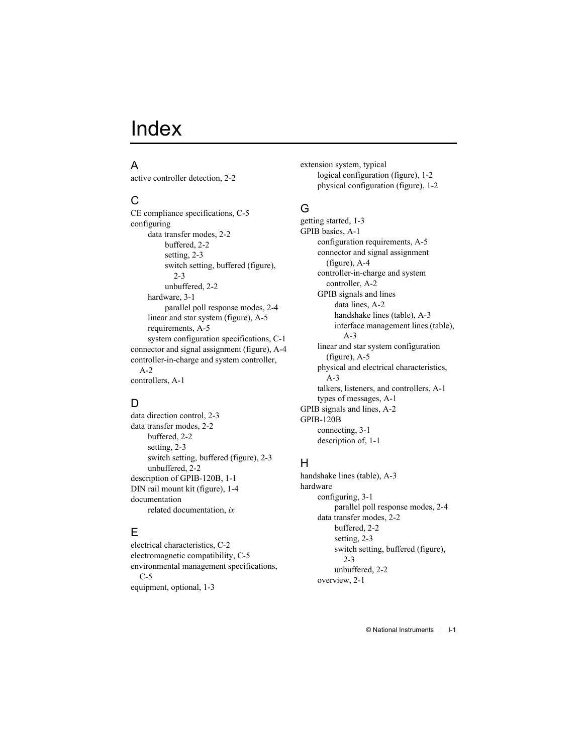#### <span id="page-33-0"></span>A

[active controller detection, 2-2](#page-12-9)

### $\mathsf{C}$

[CE compliance specifications, C-5](#page-29-1) configuring [data transfer modes, 2-2](#page-13-5) [buffered, 2-2](#page-13-6) [setting, 2-3](#page-14-5) [switch setting, buffered \(figure\),](#page-14-6)  2-3 [unbuffered, 2-2](#page-13-7) [hardware, 3-1](#page-16-3) [parallel poll response modes, 2-4](#page-15-1) [linear and star system \(figure\), A-5](#page-20-2) [requirements, A-5](#page-21-0) [system configuration specifications, C-1](#page-25-2) [connector and signal assignment \(figure\), A-4](#page-20-3) [controller-in-charge and system controller,](#page-18-0)   $A-2$ [controllers, A-1](#page-17-2)

#### D

[data direction control, 2-3](#page-14-7) [data transfer modes, 2-2](#page-13-5) [buffered, 2-2](#page-13-6) [setting, 2-3](#page-14-5) [switch setting, buffered \(figure\), 2-3](#page-14-6) [unbuffered, 2-2](#page-13-7) [description of GPIB-120B, 1-1](#page-8-4) [DIN rail mount kit \(figure\), 1-4](#page-11-2) documentation related documentation, *[ix](#page-7-2)*

#### E

[electrical characteristics, C-2](#page-26-0) [electromagnetic compatibility, C-5](#page-29-2) [environmental management specifications,](#page-29-3)   $C-5$ [equipment, optional, 1-3](#page-10-3)

extension system, typical [logical configuration \(figure\), 1-2](#page-9-1) [physical configuration \(figure\), 1-2](#page-8-5)

### G

[getting started, 1-3](#page-10-4) [GPIB basics, A-1](#page-17-3) [configuration requirements, A-5](#page-21-0) [connector and signal assignment](#page-20-4)  (figure), A-4 [controller-in-charge and system](#page-18-0)  controller, A-2 GPIB signals and lines [data lines, A-2](#page-18-1) [handshake lines \(table\), A-3](#page-19-2) [interface management lines \(table\),](#page-19-3)  A-3 [linear and star system configuration](#page-20-2)  (figure), A-5 [physical and electrical characteristics,](#page-19-4)   $A-3$ [talkers, listeners, and controllers, A-1](#page-17-2) [types of messages, A-1](#page-17-4) [GPIB signals and lines, A-2](#page-18-2) GPIB-120B [connecting, 3-1](#page-16-4) [description of, 1-1](#page-8-4)

#### H

[handshake lines \(table\), A-3](#page-19-5) hardware [configuring, 3-1](#page-16-3) [parallel poll response modes, 2-4](#page-15-1) [data transfer modes, 2-2](#page-13-5) [buffered, 2-2](#page-13-6) [setting, 2-3](#page-14-5) [switch setting, buffered \(figure\),](#page-14-6)   $2 - 3$ [unbuffered, 2-2](#page-13-7) [overview, 2-1](#page-12-10)